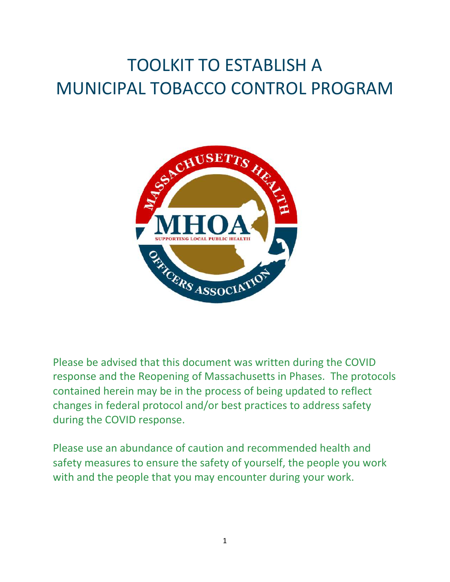# TOOLKIT TO ESTABLISH A MUNICIPAL TOBACCO CONTROL PROGRAM



Please be advised that this document was written during the COVID response and the Reopening of Massachusetts in Phases. The protocols contained herein may be in the process of being updated to reflect changes in federal protocol and/or best practices to address safety during the COVID response.

Please use an abundance of caution and recommended health and safety measures to ensure the safety of yourself, the people you work with and the people that you may encounter during your work.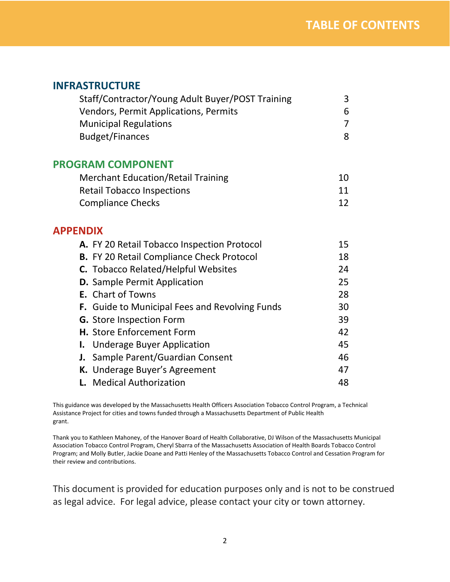### **INFRASTRUCTURE**

| Staff/Contractor/Young Adult Buyer/POST Training | 3 |
|--------------------------------------------------|---|
| Vendors, Permit Applications, Permits            | 6 |
| <b>Municipal Regulations</b>                     |   |
| <b>Budget/Finances</b>                           | Я |

### **PROGRAM COMPONENT**

| <b>Merchant Education/Retail Training</b> | 10 |
|-------------------------------------------|----|
| <b>Retail Tobacco Inspections</b>         | 11 |
| <b>Compliance Checks</b>                  | 12 |

### **APPENDIX**

| A. FY 20 Retail Tobacco Inspection Protocol      | 15 |
|--------------------------------------------------|----|
| <b>B.</b> FY 20 Retail Compliance Check Protocol | 18 |
| C. Tobacco Related/Helpful Websites              | 24 |
| <b>D.</b> Sample Permit Application              | 25 |
| <b>E.</b> Chart of Towns                         | 28 |
| F. Guide to Municipal Fees and Revolving Funds   | 30 |
| <b>G.</b> Store Inspection Form                  | 39 |
| <b>H.</b> Store Enforcement Form                 | 42 |
| <b>I.</b> Underage Buyer Application             | 45 |
| J. Sample Parent/Guardian Consent                | 46 |
| K. Underage Buyer's Agreement                    | 47 |
| <b>L.</b> Medical Authorization                  | 48 |

This guidance was developed by the Massachusetts Health Officers Association Tobacco Control Program, a Technical Assistance Project for cities and towns funded through a Massachusetts Department of Public Health grant.

Thank you to Kathleen Mahoney, of the Hanover Board of Health Collaborative, DJ Wilson of the Massachusetts Municipal Association Tobacco Control Program, Cheryl Sbarra of the Massachusetts Association of Health Boards Tobacco Control Program; and Molly Butler, Jackie Doane and Patti Henley of the Massachusetts Tobacco Control and Cessation Program for their review and contributions.

This document is provided for education purposes only and is not to be construed as legal advice. For legal advice, please contact your city or town attorney.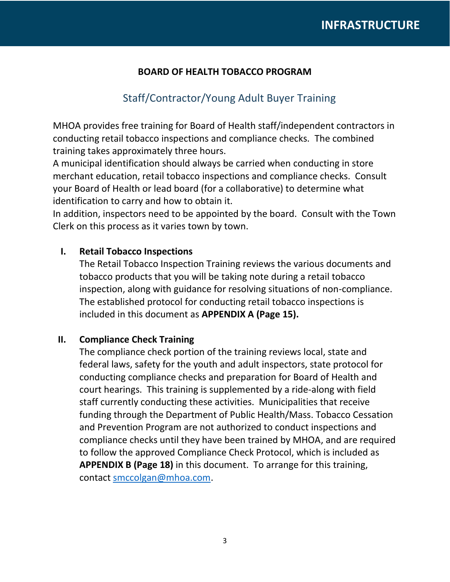### **BOARD OF HEALTH TOBACCO PROGRAM**

### Staff/Contractor/Young Adult Buyer Training

MHOA provides free training for Board of Health staff/independent contractors in conducting retail tobacco inspections and compliance checks. The combined training takes approximately three hours.

A municipal identification should always be carried when conducting in store merchant education, retail tobacco inspections and compliance checks. Consult your Board of Health or lead board (for a collaborative) to determine what identification to carry and how to obtain it.

In addition, inspectors need to be appointed by the board. Consult with the Town Clerk on this process as it varies town by town.

### **I. Retail Tobacco Inspections**

The Retail Tobacco Inspection Training reviews the various documents and tobacco products that you will be taking note during a retail tobacco inspection, along with guidance for resolving situations of non-compliance. The established protocol for conducting retail tobacco inspections is included in this document as **APPENDIX A (Page 15).**

### **II. Compliance Check Training**

The compliance check portion of the training reviews local, state and federal laws, safety for the youth and adult inspectors, state protocol for conducting compliance checks and preparation for Board of Health and court hearings. This training is supplemented by a ride-along with field staff currently conducting these activities. Municipalities that receive funding through the Department of Public Health/Mass. Tobacco Cessation and Prevention Program are not authorized to conduct inspections and compliance checks until they have been trained by MHOA, and are required to follow the approved Compliance Check Protocol, which is included as **APPENDIX B (Page 18)** in this document. To arrange for this training, contact [smccolgan@mhoa.com.](mailto:smccolgan@mhoa.com)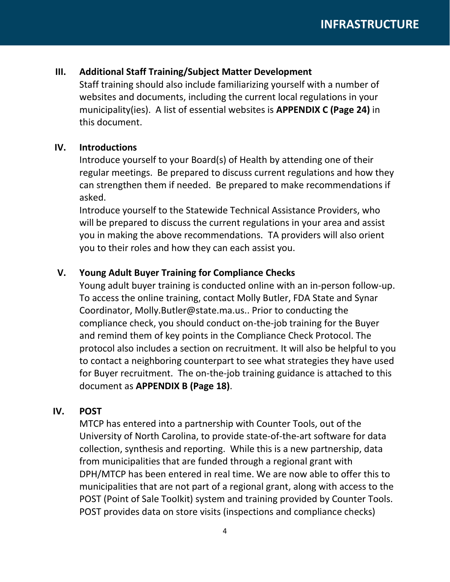### **III. Additional Staff Training/Subject Matter Development**

Staff training should also include familiarizing yourself with a number of websites and documents, including the current local regulations in your municipality(ies). A list of essential websites is **APPENDIX C (Page 24)** in this document.

### **IV. Introductions**

Introduce yourself to your Board(s) of Health by attending one of their regular meetings. Be prepared to discuss current regulations and how they can strengthen them if needed. Be prepared to make recommendations if asked.

Introduce yourself to the Statewide Technical Assistance Providers, who will be prepared to discuss the current regulations in your area and assist you in making the above recommendations. TA providers will also orient you to their roles and how they can each assist you.

### **V. Young Adult Buyer Training for Compliance Checks**

Young adult buyer training is conducted online with an in-person follow-up. To access the online training, contact Molly Butler, FDA State and Synar Coordinator, Molly.Butler@state.ma.us.. Prior to conducting the compliance check, you should conduct on-the-job training for the Buyer and remind them of key points in the Compliance Check Protocol. The protocol also includes a section on recruitment. It will also be helpful to you to contact a neighboring counterpart to see what strategies they have used for Buyer recruitment. The on-the-job training guidance is attached to this document as **APPENDIX B (Page 18)**.

### **IV. POST**

MTCP has entered into a partnership with Counter Tools, out of the University of North Carolina, to provide state-of-the-art software for data collection, synthesis and reporting. While this is a new partnership, data from municipalities that are funded through a regional grant with DPH/MTCP has been entered in real time. We are now able to offer this to municipalities that are not part of a regional grant, along with access to the POST (Point of Sale Toolkit) system and training provided by Counter Tools. POST provides data on store visits (inspections and compliance checks)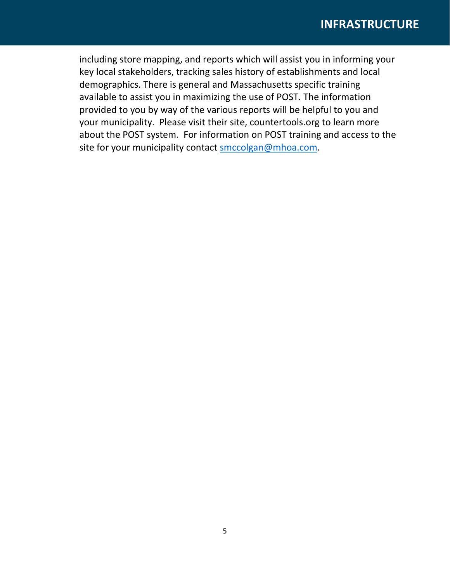### **INFRASTRUCTURE**

including store mapping, and reports which will assist you in informing your key local stakeholders, tracking sales history of establishments and local demographics. There is general and Massachusetts specific training available to assist you in maximizing the use of POST. The information provided to you by way of the various reports will be helpful to you and your municipality. Please visit their site, countertools.org to learn more about the POST system. For information on POST training and access to the site for your municipality contact [smccolgan@mhoa.com.](mailto:smccolgan@mhoa.com)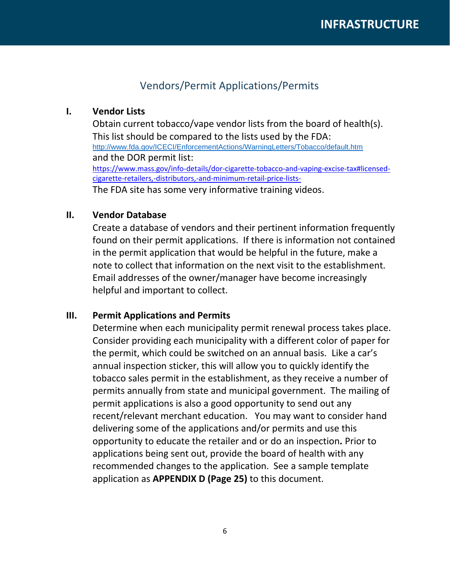### Vendors/Permit Applications/Permits

### **I. Vendor Lists**

Obtain current tobacco/vape vendor lists from the board of health(s). This list should be compared to the lists used by the FDA: <http://www.fda.gov/ICECI/EnforcementActions/WarningLetters/Tobacco/default.htm> and the DOR permit list: [https://www.mass.gov/info-details/dor-cigarette-tobacco-and-vaping-excise-tax#licensed](https://www.mass.gov/info-details/dor-cigarette-tobacco-and-vaping-excise-tax#licensed-cigarette-retailers,-distributors,-and-minimum-retail-price-lists-)[cigarette-retailers,-distributors,-and-minimum-retail-price-lists-](https://www.mass.gov/info-details/dor-cigarette-tobacco-and-vaping-excise-tax#licensed-cigarette-retailers,-distributors,-and-minimum-retail-price-lists-)The FDA site has some very informative training videos.

### **II. Vendor Database**

Create a database of vendors and their pertinent information frequently found on their permit applications. If there is information not contained in the permit application that would be helpful in the future, make a note to collect that information on the next visit to the establishment. Email addresses of the owner/manager have become increasingly helpful and important to collect.

#### **III. Permit Applications and Permits**

Determine when each municipality permit renewal process takes place. Consider providing each municipality with a different color of paper for the permit, which could be switched on an annual basis. Like a car's annual inspection sticker, this will allow you to quickly identify the tobacco sales permit in the establishment, as they receive a number of permits annually from state and municipal government. The mailing of permit applications is also a good opportunity to send out any recent/relevant merchant education. You may want to consider hand delivering some of the applications and/or permits and use this opportunity to educate the retailer and or do an inspection*.* Prior to applications being sent out, provide the board of health with any recommended changes to the application. See a sample template application as **APPENDIX D (Page 25)** to this document.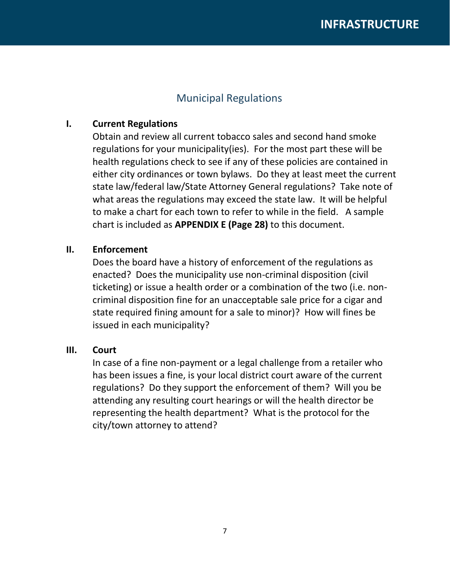### Municipal Regulations

### **I. Current Regulations**

Obtain and review all current tobacco sales and second hand smoke regulations for your municipality(ies). For the most part these will be health regulations check to see if any of these policies are contained in either city ordinances or town bylaws. Do they at least meet the current state law/federal law/State Attorney General regulations? Take note of what areas the regulations may exceed the state law. It will be helpful to make a chart for each town to refer to while in the field. A sample chart is included as **APPENDIX E (Page 28)** to this document.

### **II. Enforcement**

Does the board have a history of enforcement of the regulations as enacted? Does the municipality use non-criminal disposition (civil ticketing) or issue a health order or a combination of the two (i.e. noncriminal disposition fine for an unacceptable sale price for a cigar and state required fining amount for a sale to minor)? How will fines be issued in each municipality?

### **III. Court**

In case of a fine non-payment or a legal challenge from a retailer who has been issues a fine, is your local district court aware of the current regulations? Do they support the enforcement of them? Will you be attending any resulting court hearings or will the health director be representing the health department? What is the protocol for the city/town attorney to attend?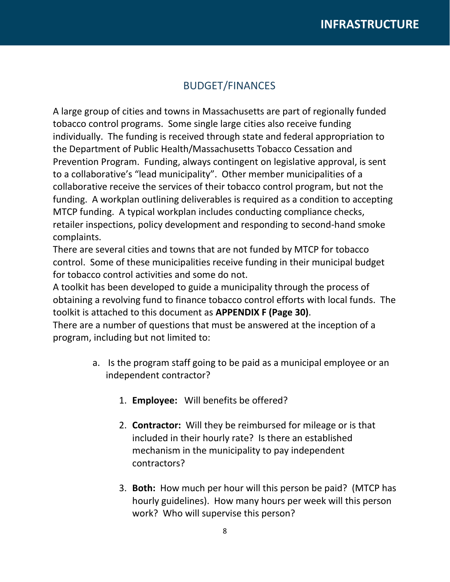### BUDGET/FINANCES

A large group of cities and towns in Massachusetts are part of regionally funded tobacco control programs. Some single large cities also receive funding individually. The funding is received through state and federal appropriation to the Department of Public Health/Massachusetts Tobacco Cessation and Prevention Program. Funding, always contingent on legislative approval, is sent to a collaborative's "lead municipality". Other member municipalities of a collaborative receive the services of their tobacco control program, but not the funding. A workplan outlining deliverables is required as a condition to accepting MTCP funding. A typical workplan includes conducting compliance checks, retailer inspections, policy development and responding to second-hand smoke complaints.

There are several cities and towns that are not funded by MTCP for tobacco control. Some of these municipalities receive funding in their municipal budget for tobacco control activities and some do not.

A toolkit has been developed to guide a municipality through the process of obtaining a revolving fund to finance tobacco control efforts with local funds. The toolkit is attached to this document as **APPENDIX F (Page 30)**.

There are a number of questions that must be answered at the inception of a program, including but not limited to:

- a. Is the program staff going to be paid as a municipal employee or an independent contractor?
	- 1. **Employee:** Will benefits be offered?
	- 2. **Contractor:** Will they be reimbursed for mileage or is that included in their hourly rate? Is there an established mechanism in the municipality to pay independent contractors?
	- 3. **Both:** How much per hour will this person be paid? (MTCP has hourly guidelines). How many hours per week will this person work? Who will supervise this person?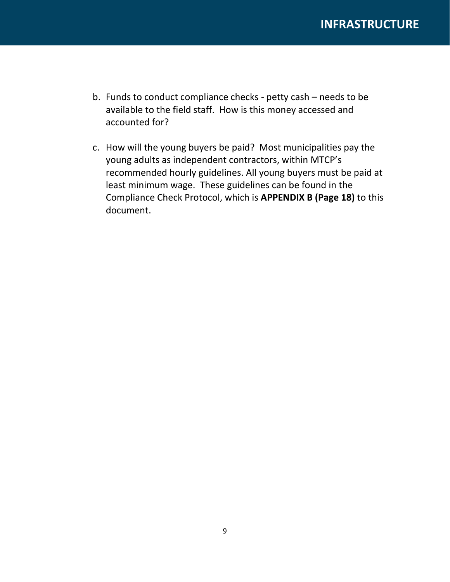- b. Funds to conduct compliance checks petty cash needs to be available to the field staff. How is this money accessed and accounted for?
- c. How will the young buyers be paid? Most municipalities pay the young adults as independent contractors, within MTCP's recommended hourly guidelines. All young buyers must be paid at least minimum wage. These guidelines can be found in the Compliance Check Protocol, which is **APPENDIX B (Page 18)** to this document.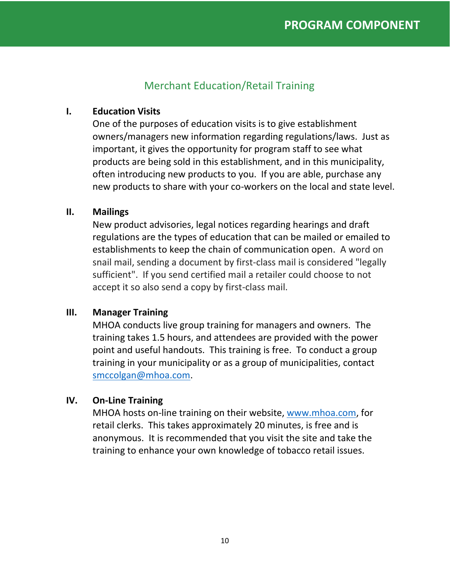### Merchant Education/Retail Training

### **I. Education Visits**

One of the purposes of education visits is to give establishment owners/managers new information regarding regulations/laws. Just as important, it gives the opportunity for program staff to see what products are being sold in this establishment, and in this municipality, often introducing new products to you. If you are able, purchase any new products to share with your co-workers on the local and state level.

### **II. Mailings**

New product advisories, legal notices regarding hearings and draft regulations are the types of education that can be mailed or emailed to establishments to keep the chain of communication open. A word on snail mail, sending a document by first-class mail is considered "legally sufficient". If you send certified mail a retailer could choose to not accept it so also send a copy by first-class mail.

### **III. Manager Training**

MHOA conducts live group training for managers and owners. The training takes 1.5 hours, and attendees are provided with the power point and useful handouts. This training is free. To conduct a group training in your municipality or as a group of municipalities, contact [smccolgan@mhoa.com.](mailto:smccolgan@mhoa.com)

### **IV. On-Line Training**

MHOA hosts on-line training on their website, [www.mhoa.com,](http://www.mhoa.com/) for retail clerks. This takes approximately 20 minutes, is free and is anonymous. It is recommended that you visit the site and take the training to enhance your own knowledge of tobacco retail issues.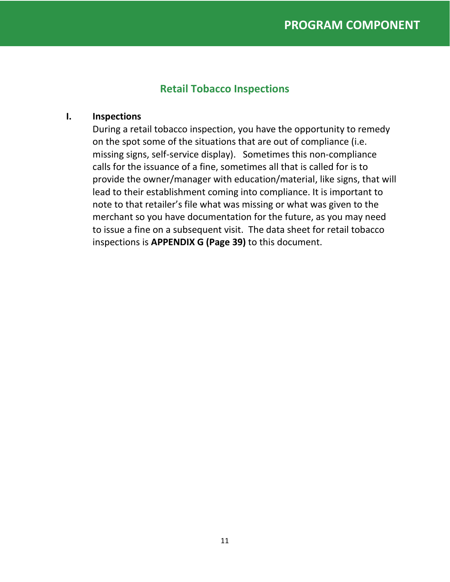### **Retail Tobacco Inspections**

### **I. Inspections**

During a retail tobacco inspection, you have the opportunity to remedy on the spot some of the situations that are out of compliance (i.e. missing signs, self-service display). Sometimes this non-compliance calls for the issuance of a fine, sometimes all that is called for is to provide the owner/manager with education/material, like signs, that will lead to their establishment coming into compliance. It is important to note to that retailer's file what was missing or what was given to the merchant so you have documentation for the future, as you may need to issue a fine on a subsequent visit. The data sheet for retail tobacco inspections is **APPENDIX G (Page 39)** to this document.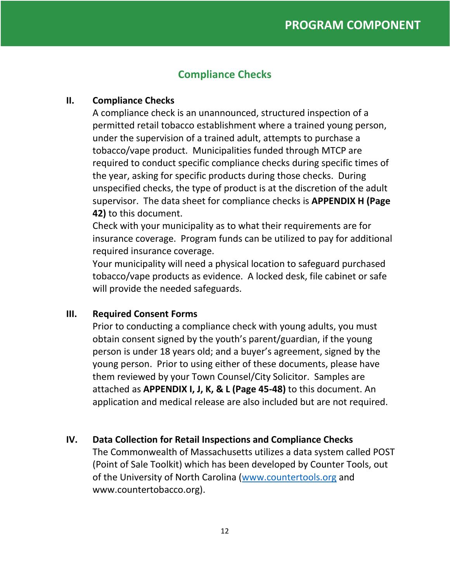### **Compliance Checks**

### **II. Compliance Checks**

A compliance check is an unannounced, structured inspection of a permitted retail tobacco establishment where a trained young person, under the supervision of a trained adult, attempts to purchase a tobacco/vape product. Municipalities funded through MTCP are required to conduct specific compliance checks during specific times of the year, asking for specific products during those checks. During unspecified checks, the type of product is at the discretion of the adult supervisor. The data sheet for compliance checks is **APPENDIX H (Page 42)** to this document.

Check with your municipality as to what their requirements are for insurance coverage. Program funds can be utilized to pay for additional required insurance coverage.

Your municipality will need a physical location to safeguard purchased tobacco/vape products as evidence. A locked desk, file cabinet or safe will provide the needed safeguards.

### **III. Required Consent Forms**

Prior to conducting a compliance check with young adults, you must obtain consent signed by the youth's parent/guardian, if the young person is under 18 years old; and a buyer's agreement, signed by the young person. Prior to using either of these documents, please have them reviewed by your Town Counsel/City Solicitor. Samples are attached as **APPENDIX I, J, K, & L (Page 45-48)** to this document. An application and medical release are also included but are not required.

### **IV. Data Collection for Retail Inspections and Compliance Checks**

The Commonwealth of Massachusetts utilizes a data system called POST (Point of Sale Toolkit) which has been developed by Counter Tools, out of the University of North Carolina [\(www.countertools.org](http://www.countertools.org/) and www.countertobacco.org).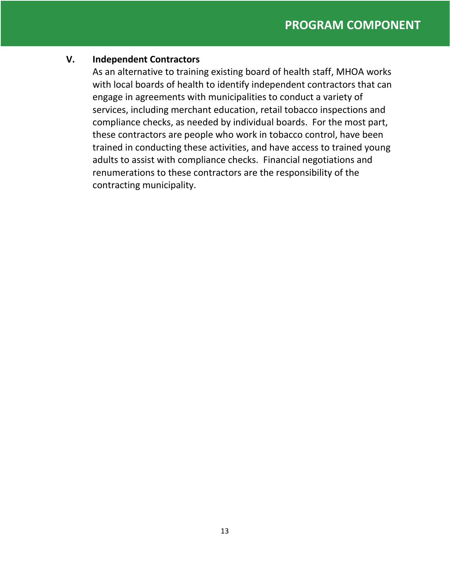#### **V. Independent Contractors**

As an alternative to training existing board of health staff, MHOA works with local boards of health to identify independent contractors that can engage in agreements with municipalities to conduct a variety of services, including merchant education, retail tobacco inspections and compliance checks, as needed by individual boards. For the most part, these contractors are people who work in tobacco control, have been trained in conducting these activities, and have access to trained young adults to assist with compliance checks. Financial negotiations and renumerations to these contractors are the responsibility of the contracting municipality.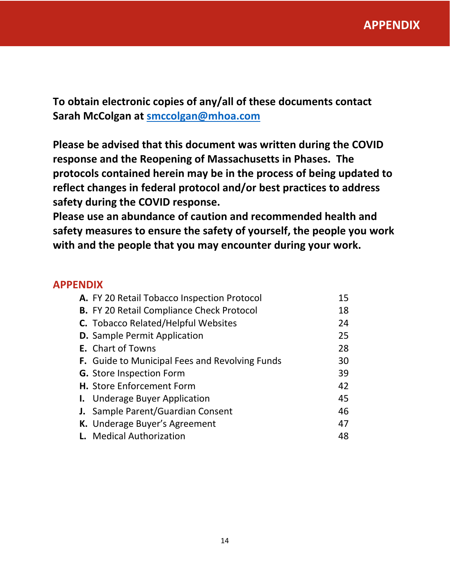**To obtain electronic copies of any/all of these documents contact Sarah McColgan at [smccolgan@mhoa.com](mailto:smccolgan@mhoa.com)**

**Please be advised that this document was written during the COVID response and the Reopening of Massachusetts in Phases. The protocols contained herein may be in the process of being updated to reflect changes in federal protocol and/or best practices to address safety during the COVID response.** 

**Please use an abundance of caution and recommended health and safety measures to ensure the safety of yourself, the people you work with and the people that you may encounter during your work.**

### **APPENDIX**

| A. FY 20 Retail Tobacco Inspection Protocol      | 15 |
|--------------------------------------------------|----|
| <b>B.</b> FY 20 Retail Compliance Check Protocol | 18 |
| C. Tobacco Related/Helpful Websites              | 24 |
| <b>D.</b> Sample Permit Application              | 25 |
| <b>E.</b> Chart of Towns                         | 28 |
| F. Guide to Municipal Fees and Revolving Funds   | 30 |
| <b>G.</b> Store Inspection Form                  | 39 |
| H. Store Enforcement Form                        | 42 |
| <b>I.</b> Underage Buyer Application             | 45 |
| J. Sample Parent/Guardian Consent                | 46 |
| K. Underage Buyer's Agreement                    | 47 |
| <b>L.</b> Medical Authorization                  | 48 |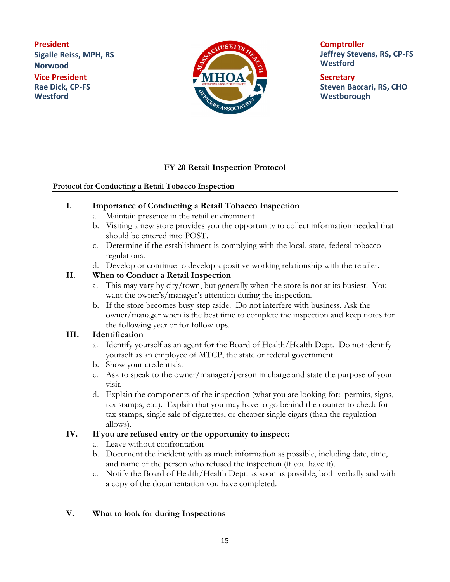**President Sigalle Reiss, MPH, RS Norwood Vice President Rae Dick, CP-FS Westford**



**Comptroller Jeffrey Stevens, RS, CP-FS Westford**

**Secretary Steven Baccari, RS, CHO Westborough**

### **FY 20 Retail Inspection Protocol**

#### **Protocol for Conducting a Retail Tobacco Inspection**

- **I. Importance of Conducting a Retail Tobacco Inspection**
	- a. Maintain presence in the retail environment
	- b. Visiting a new store provides you the opportunity to collect information needed that should be entered into POST.
	- c. Determine if the establishment is complying with the local, state, federal tobacco regulations.
	- d. Develop or continue to develop a positive working relationship with the retailer.

#### **II. When to Conduct a Retail Inspection**

- a. This may vary by city/town, but generally when the store is not at its busiest. You want the owner's/manager's attention during the inspection.
- b. If the store becomes busy step aside. Do not interfere with business. Ask the owner/manager when is the best time to complete the inspection and keep notes for the following year or for follow-ups.

#### **III. Identification**

- a. Identify yourself as an agent for the Board of Health/Health Dept. Do not identify yourself as an employee of MTCP, the state or federal government.
- b. Show your credentials.
- c. Ask to speak to the owner/manager/person in charge and state the purpose of your visit.
- d. Explain the components of the inspection (what you are looking for: permits, signs, tax stamps, etc.). Explain that you may have to go behind the counter to check for tax stamps, single sale of cigarettes, or cheaper single cigars (than the regulation allows).

#### **IV. If you are refused entry or the opportunity to inspect:**

- a. Leave without confrontation
- b. Document the incident with as much information as possible, including date, time, and name of the person who refused the inspection (if you have it).
- c. Notify the Board of Health/Health Dept. as soon as possible, both verbally and with a copy of the documentation you have completed.

#### **V. What to look for during Inspections**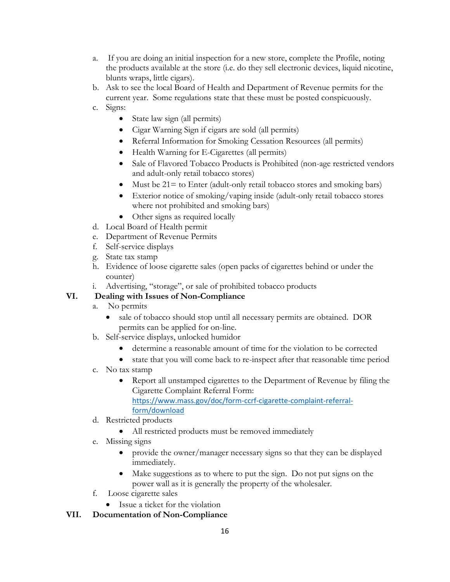- a. If you are doing an initial inspection for a new store, complete the Profile, noting the products available at the store (i.e. do they sell electronic devices, liquid nicotine, blunts wraps, little cigars).
- b. Ask to see the local Board of Health and Department of Revenue permits for the current year. Some regulations state that these must be posted conspicuously.
- c. Signs:
	- State law sign (all permits)
	- Cigar Warning Sign if cigars are sold (all permits)
	- Referral Information for Smoking Cessation Resources (all permits)
	- Health Warning for E-Cigarettes (all permits)
	- Sale of Flavored Tobacco Products is Prohibited (non-age restricted vendors and adult-only retail tobacco stores)
	- Must be  $21 =$  to Enter (adult-only retail tobacco stores and smoking bars)
	- Exterior notice of smoking/vaping inside (adult-only retail tobacco stores where not prohibited and smoking bars)
	- Other signs as required locally
- d. Local Board of Health permit
- e. Department of Revenue Permits
- f. Self-service displays
- g. State tax stamp
- h. Evidence of loose cigarette sales (open packs of cigarettes behind or under the counter)
- i. Advertising, "storage", or sale of prohibited tobacco products

#### **VI. Dealing with Issues of Non-Compliance**

- a. No permits
	- sale of tobacco should stop until all necessary permits are obtained. DOR permits can be applied for on-line.
- b. Self-service displays, unlocked humidor
	- determine a reasonable amount of time for the violation to be corrected
	- state that you will come back to re-inspect after that reasonable time period
- c. No tax stamp
	- Report all unstamped cigarettes to the Department of Revenue by filing the Cigarette Complaint Referral Form:

[https://www.mass.gov/doc/form-ccrf-cigarette-complaint-referral](https://www.mass.gov/doc/form-ccrf-cigarette-complaint-referral-form/download)[form/download](https://www.mass.gov/doc/form-ccrf-cigarette-complaint-referral-form/download)

- d. Restricted products
	- All restricted products must be removed immediately
- e. Missing signs
	- provide the owner/manager necessary signs so that they can be displayed immediately.
	- Make suggestions as to where to put the sign. Do not put signs on the power wall as it is generally the property of the wholesaler.
- f. Loose cigarette sales
	- Issue a ticket for the violation

#### **VII. Documentation of Non-Compliance**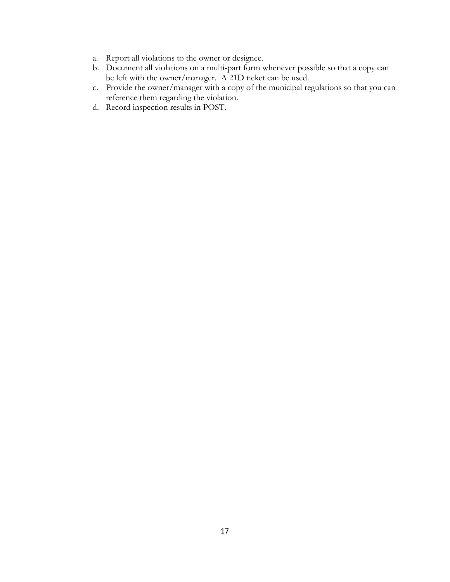- a. Report all violations to the owner or designee.
- b. Document all violations on a multi-part form whenever possible so that a copy can be left with the owner/manager. A 21D ticket can be used.
- c. Provide the owner/manager with a copy of the municipal regulations so that you can reference them regarding the violation.
- d. Record inspection results in POST.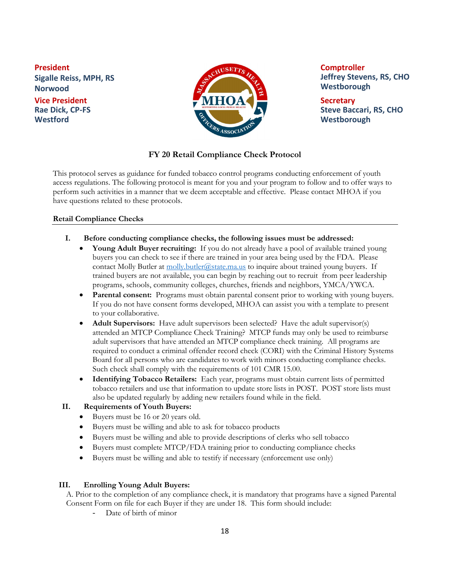**President Sigalle Reiss, MPH, RS Norwood Vice President Rae Dick, CP-FS Westford**



**Comptroller Jeffrey Stevens, RS, CHO Westborough**

**Secretary Steve Baccari, RS, CHO Westborough**

#### **FY 20 Retail Compliance Check Protocol**

This protocol serves as guidance for funded tobacco control programs conducting enforcement of youth access regulations. The following protocol is meant for you and your program to follow and to offer ways to perform such activities in a manner that we deem acceptable and effective. Please contact MHOA if you have questions related to these protocols.

#### **Retail Compliance Checks**

- **I. Before conducting compliance checks, the following issues must be addressed:**
	- **Young Adult Buyer recruiting:** If you do not already have a pool of available trained young buyers you can check to see if there are trained in your area being used by the FDA. Please contact Molly Butler at [molly.butler@state.ma.us](mailto:molly.butler@state.ma.us) to inquire about trained young buyers. If trained buyers are not available, you can begin by reaching out to recruit from peer leadership programs, schools, community colleges, churches, friends and neighbors, YMCA/YWCA.
	- **Parental consent:** Programs must obtain parental consent prior to working with young buyers. If you do not have consent forms developed, MHOA can assist you with a template to present to your collaborative.
	- **Adult Supervisors:** Have adult supervisors been selected? Have the adult supervisor(s) attended an MTCP Compliance Check Training? MTCP funds may only be used to reimburse adult supervisors that have attended an MTCP compliance check training.All programs are required to conduct a criminal offender record check (CORI) with the Criminal History Systems Board for all persons who are candidates to work with minors conducting compliance checks. Such check shall comply with the requirements of 101 CMR 15.00.
	- **Identifying Tobacco Retailers:** Each year, programs must obtain current lists of permitted tobacco retailers and use that information to update store lists in POST. POST store lists must also be updated regularly by adding new retailers found while in the field.

#### **II. Requirements of Youth Buyers:**

- Buyers must be 16 or 20 years old.
- Buyers must be willing and able to ask for tobacco products
- Buyers must be willing and able to provide descriptions of clerks who sell tobacco
- Buyers must complete MTCP/FDA training prior to conducting compliance checks
- Buyers must be willing and able to testify if necessary (enforcement use only)

#### **III. Enrolling Young Adult Buyers:**

A. Prior to the completion of any compliance check, it is mandatory that programs have a signed Parental Consent Form on file for each Buyer if they are under 18. This form should include:

Date of birth of minor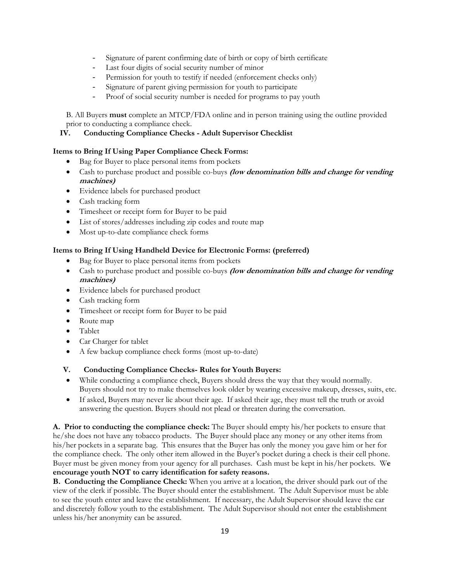- Signature of parent confirming date of birth or copy of birth certificate
- Last four digits of social security number of minor
- Permission for youth to testify if needed (enforcement checks only)
- Signature of parent giving permission for youth to participate
- Proof of social security number is needed for programs to pay youth

B. All Buyers **must** complete an MTCP/FDA online and in person training using the outline provided prior to conducting a compliance check.

#### **IV. Conducting Compliance Checks - Adult Supervisor Checklist**

#### **Items to Bring If Using Paper Compliance Check Forms:**

- Bag for Buyer to place personal items from pockets
- Cash to purchase product and possible co-buys **(low denomination bills and change for vending machines)**
- Evidence labels for purchased product
- Cash tracking form
- Timesheet or receipt form for Buyer to be paid
- List of stores/addresses including zip codes and route map
- Most up-to-date compliance check forms

#### **Items to Bring If Using Handheld Device for Electronic Forms: (preferred)**

- Bag for Buyer to place personal items from pockets
- Cash to purchase product and possible co-buys **(low denomination bills and change for vending machines)**
- Evidence labels for purchased product
- Cash tracking form
- Timesheet or receipt form for Buyer to be paid
- Route map
- Tablet
- Car Charger for tablet
- A few backup compliance check forms (most up-to-date)

#### **V. Conducting Compliance Checks- Rules for Youth Buyers:**

- While conducting a compliance check, Buyers should dress the way that they would normally. Buyers should not try to make themselves look older by wearing excessive makeup, dresses, suits, etc.
- If asked, Buyers may never lie about their age. If asked their age, they must tell the truth or avoid answering the question. Buyers should not plead or threaten during the conversation.

**A. Prior to conducting the compliance check:** The Buyer should empty his/her pockets to ensure that he/she does not have any tobacco products. The Buyer should place any money or any other items from his/her pockets in a separate bag. This ensures that the Buyer has only the money you gave him or her for the compliance check. The only other item allowed in the Buyer's pocket during a check is their cell phone. Buyer must be given money from your agency for all purchases. Cash must be kept in his/her pockets. W**e encourage youth NOT to carry identification for safety reasons.** 

**B. Conducting the Compliance Check:** When you arrive at a location, the driver should park out of the view of the clerk if possible. The Buyer should enter the establishment. The Adult Supervisor must be able to see the youth enter and leave the establishment. If necessary, the Adult Supervisor should leave the car and discretely follow youth to the establishment. The Adult Supervisor should not enter the establishment unless his/her anonymity can be assured.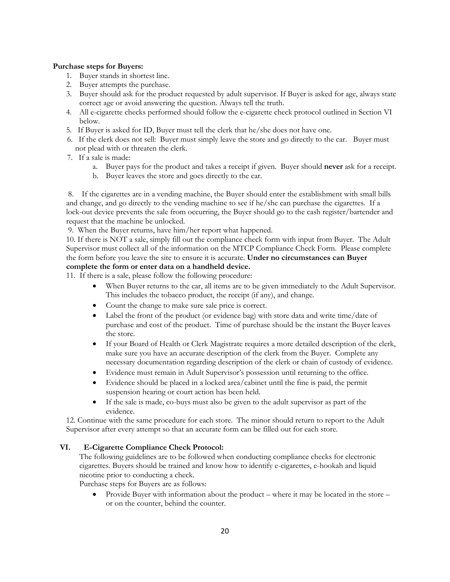#### **Purchase steps for Buyers:**

- 1. Buyer stands in shortest line.
- 2. Buyer attempts the purchase.
- 3. Buyer should ask for the product requested by adult supervisor. If Buyer is asked for age, always state correct age or avoid answering the question. Always tell the truth.
- 4. All e-cigarette checks performed should follow the e-cigarette check protocol outlined in Section VI below.
- 5.If Buyer is asked for ID, Buyer must tell the clerk that he/she does not have one.
- 6.If the clerk does not sell: Buyer must simply leave the store and go directly to the car. Buyer must not plead with or threaten the clerk.
- 7.If a sale is made:
	- a. Buyer pays for the product and takes a receipt if given. Buyer should **never** ask for a receipt.
	- b. Buyer leaves the store and goes directly to the car.

8. If the cigarettes are in a vending machine, the Buyer should enter the establishment with small bills and change, and go directly to the vending machine to see if he/she can purchase the cigarettes. If a lock-out device prevents the sale from occurring, the Buyer should go to the cash register/bartender and request that the machine be unlocked.

9. When the Buyer returns, have him/her report what happened.

10. If there is NOT a sale, simply fill out the compliance check form with input from Buyer. The Adult Supervisor must collect all of the information on the MTCP Compliance Check Form. Please complete the form before you leave the site to ensure it is accurate. **Under no circumstances can Buyer complete the form or enter data on a handheld device.**

11. If there is a sale, please follow the following procedure:

- When Buyer returns to the car, all items are to be given immediately to the Adult Supervisor. This includes the tobacco product, the receipt (if any), and change.
- Count the change to make sure sale price is correct.
- Label the front of the product (or evidence bag) with store data and write time/date of purchase and cost of the product. Time of purchase should be the instant the Buyer leaves the store.
- If your Board of Health or Clerk Magistrate requires a more detailed description of the clerk, make sure you have an accurate description of the clerk from the Buyer. Complete any necessary documentation regarding description of the clerk or chain of custody of evidence.
- Evidence must remain in Adult Supervisor's possession until returning to the office.
- Evidence should be placed in a locked area/cabinet until the fine is paid, the permit suspension hearing or court action has been held.
- If the sale is made, co-buys must also be given to the adult supervisor as part of the evidence.

12. Continue with the same procedure for each store. The minor should return to report to the Adult Supervisor after every attempt so that an accurate form can be filled out for each store.

#### **VI. E-Cigarette Compliance Check Protocol:**

The following guidelines are to be followed when conducting compliance checks for electronic cigarettes. Buyers should be trained and know how to identify e-cigarettes, e-hookah and liquid nicotine prior to conducting a check.

Purchase steps for Buyers are as follows:

• Provide Buyer with information about the product – where it may be located in the store – or on the counter, behind the counter.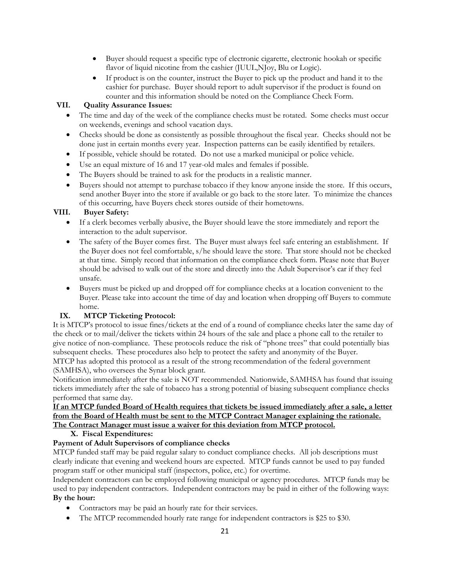- Buyer should request a specific type of electronic cigarette, electronic hookah or specific flavor of liquid nicotine from the cashier (JUUL, NJoy, Blu or Logic).
- If product is on the counter, instruct the Buyer to pick up the product and hand it to the cashier for purchase. Buyer should report to adult supervisor if the product is found on counter and this information should be noted on the Compliance Check Form.

#### **VII. Quality Assurance Issues:**

- The time and day of the week of the compliance checks must be rotated. Some checks must occur on weekends, evenings and school vacation days.
- Checks should be done as consistently as possible throughout the fiscal year. Checks should not be done just in certain months every year. Inspection patterns can be easily identified by retailers.
- If possible, vehicle should be rotated. Do not use a marked municipal or police vehicle.
- Use an equal mixture of 16 and 17 year-old males and females if possible.
- The Buyers should be trained to ask for the products in a realistic manner.
- Buyers should not attempt to purchase tobacco if they know anyone inside the store. If this occurs, send another Buyer into the store if available or go back to the store later. To minimize the chances of this occurring, have Buyers check stores outside of their hometowns.

#### **VIII. Buyer Safety:**

- If a clerk becomes verbally abusive, the Buyer should leave the store immediately and report the interaction to the adult supervisor.
- The safety of the Buyer comes first. The Buyer must always feel safe entering an establishment. If the Buyer does not feel comfortable, s/he should leave the store. That store should not be checked at that time. Simply record that information on the compliance check form. Please note that Buyer should be advised to walk out of the store and directly into the Adult Supervisor's car if they feel unsafe.
- Buyers must be picked up and dropped off for compliance checks at a location convenient to the Buyer. Please take into account the time of day and location when dropping off Buyers to commute home.

#### **IX. MTCP Ticketing Protocol:**

It is MTCP's protocol to issue fines/tickets at the end of a round of compliance checks later the same day of the check or to mail/deliver the tickets within 24 hours of the sale and place a phone call to the retailer to give notice of non-compliance. These protocols reduce the risk of "phone trees" that could potentially bias subsequent checks. These procedures also help to protect the safety and anonymity of the Buyer. MTCP has adopted this protocol as a result of the strong recommendation of the federal government (SAMHSA), who oversees the Synar block grant.

Notification immediately after the sale is NOT recommended. Nationwide, SAMHSA has found that issuing tickets immediately after the sale of tobacco has a strong potential of biasing subsequent compliance checks performed that same day.

#### **If an MTCP funded Board of Health requires that tickets be issued immediately after a sale, a letter from the Board of Health must be sent to the MTCP Contract Manager explaining the rationale. The Contract Manager must issue a waiver for this deviation from MTCP protocol.**

**X. Fiscal Expenditures:**

#### **Payment of Adult Supervisors of compliance checks**

MTCP funded staff may be paid regular salary to conduct compliance checks. All job descriptions must clearly indicate that evening and weekend hours are expected. MTCP funds cannot be used to pay funded program staff or other municipal staff (inspectors, police, etc.) for overtime.

Independent contractors can be employed following municipal or agency procedures. MTCP funds may be used to pay independent contractors. Independent contractors may be paid in either of the following ways: **By the hour:** 

- Contractors may be paid an hourly rate for their services.
- The MTCP recommended hourly rate range for independent contractors is \$25 to \$30.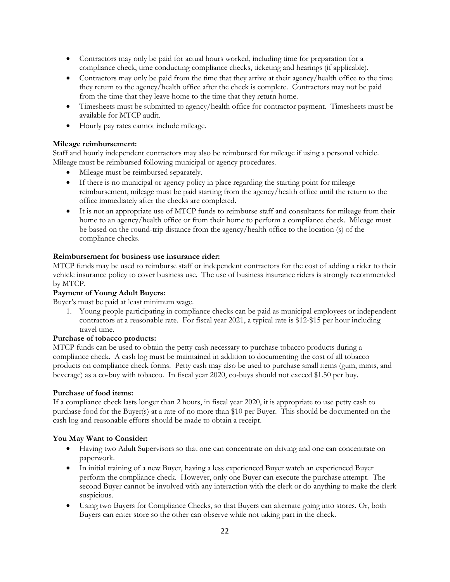- Contractors may only be paid for actual hours worked, including time for preparation for a compliance check, time conducting compliance checks, ticketing and hearings (if applicable).
- Contractors may only be paid from the time that they arrive at their agency/health office to the time they return to the agency/health office after the check is complete. Contractors may not be paid from the time that they leave home to the time that they return home.
- Timesheets must be submitted to agency/health office for contractor payment. Timesheets must be available for MTCP audit.
- Hourly pay rates cannot include mileage.

#### **Mileage reimbursement:**

Staff and hourly independent contractors may also be reimbursed for mileage if using a personal vehicle. Mileage must be reimbursed following municipal or agency procedures.

- Mileage must be reimbursed separately.
- If there is no municipal or agency policy in place regarding the starting point for mileage reimbursement, mileage must be paid starting from the agency/health office until the return to the office immediately after the checks are completed.
- It is not an appropriate use of MTCP funds to reimburse staff and consultants for mileage from their home to an agency/health office or from their home to perform a compliance check. Mileage must be based on the round-trip distance from the agency/health office to the location (s) of the compliance checks.

#### **Reimbursement for business use insurance rider:**

MTCP funds may be used to reimburse staff or independent contractors for the cost of adding a rider to their vehicle insurance policy to cover business use. The use of business insurance riders is strongly recommended by MTCP.

#### **Payment of Young Adult Buyers:**

Buyer's must be paid at least minimum wage.

1. Young people participating in compliance checks can be paid as municipal employees or independent contractors at a reasonable rate. For fiscal year 2021, a typical rate is \$12-\$15 per hour including travel time.

#### **Purchase of tobacco products:**

MTCP funds can be used to obtain the petty cash necessary to purchase tobacco products during a compliance check. A cash log must be maintained in addition to documenting the cost of all tobacco products on compliance check forms. Petty cash may also be used to purchase small items (gum, mints, and beverage) as a co-buy with tobacco. In fiscal year 2020, co-buys should not exceed \$1.50 per buy.

#### **Purchase of food items:**

If a compliance check lasts longer than 2 hours, in fiscal year 2020, it is appropriate to use petty cash to purchase food for the Buyer(s) at a rate of no more than \$10 per Buyer. This should be documented on the cash log and reasonable efforts should be made to obtain a receipt.

#### **You May Want to Consider:**

- Having two Adult Supervisors so that one can concentrate on driving and one can concentrate on paperwork.
- In initial training of a new Buyer, having a less experienced Buyer watch an experienced Buyer perform the compliance check. However, only one Buyer can execute the purchase attempt. The second Buyer cannot be involved with any interaction with the clerk or do anything to make the clerk suspicious.
- Using two Buyers for Compliance Checks, so that Buyers can alternate going into stores. Or, both Buyers can enter store so the other can observe while not taking part in the check.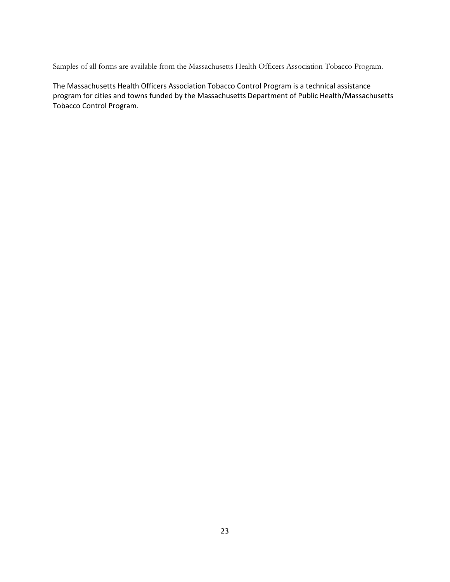Samples of all forms are available from the Massachusetts Health Officers Association Tobacco Program.

The Massachusetts Health Officers Association Tobacco Control Program is a technical assistance program for cities and towns funded by the Massachusetts Department of Public Health/Massachusetts Tobacco Control Program.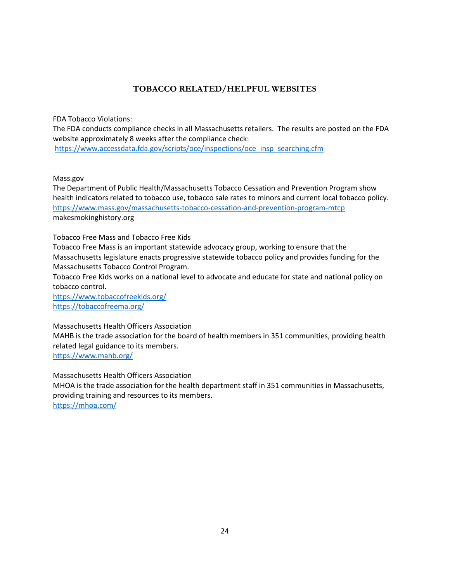### **TOBACCO RELATED/HELPFUL WEBSITES**

FDA Tobacco Violations:

The FDA conducts compliance checks in all Massachusetts retailers. The results are posted on the FDA website approximately 8 weeks after the compliance check:

[https://www.accessdata.fda.gov/scripts/oce/inspections/oce\\_insp\\_searching.cfm](https://www.accessdata.fda.gov/scripts/oce/inspections/oce_insp_searching.cfm)

Mass.gov

The Department of Public Health/Massachusetts Tobacco Cessation and Prevention Program show health indicators related to tobacco use, tobacco sale rates to minors and current local tobacco policy. <https://www.mass.gov/massachusetts-tobacco-cessation-and-prevention-program-mtcp> makesmokinghistory.org

Tobacco Free Mass and Tobacco Free Kids

Tobacco Free Mass is an important statewide advocacy group, working to ensure that the Massachusetts legislature enacts progressive statewide tobacco policy and provides funding for the Massachusetts Tobacco Control Program.

Tobacco Free Kids works on a national level to advocate and educate for state and national policy on tobacco control.

<https://www.tobaccofreekids.org/> <https://tobaccofreema.org/>

Massachusetts Health Officers Association

MAHB is the trade association for the board of health members in 351 communities, providing health related legal guidance to its members.

<https://www.mahb.org/>

Massachusetts Health Officers Association MHOA is the trade association for the health department staff in 351 communities in Massachusetts, providing training and resources to its members. <https://mhoa.com/>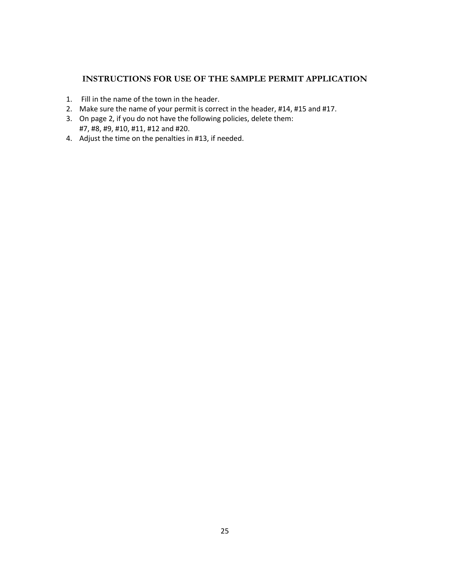#### **INSTRUCTIONS FOR USE OF THE SAMPLE PERMIT APPLICATION**

- 1. Fill in the name of the town in the header.
- 2. Make sure the name of your permit is correct in the header, #14, #15 and #17.
- 3. On page 2, if you do not have the following policies, delete them: #7, #8, #9, #10, #11, #12 and #20.
- 4. Adjust the time on the penalties in #13, if needed.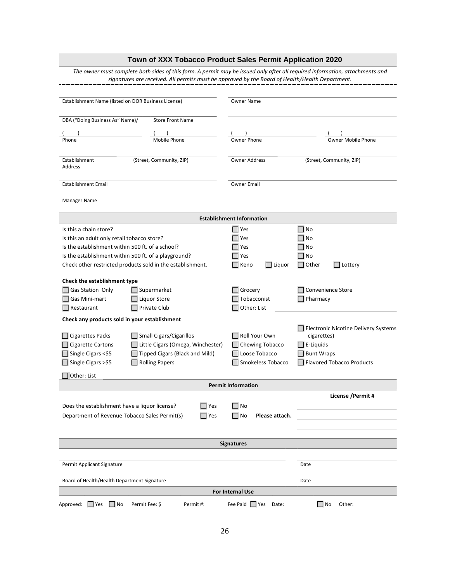|                                                            | Town of XXX Tobacco Product Sales Permit Application 2020                                       |                                  |                                                                                                                              |  |  |  |  |
|------------------------------------------------------------|-------------------------------------------------------------------------------------------------|----------------------------------|------------------------------------------------------------------------------------------------------------------------------|--|--|--|--|
|                                                            | signatures are received. All permits must be approved by the Board of Health/Health Department. |                                  | The owner must complete both sides of this form. A permit may be issued only after all required information, attachments and |  |  |  |  |
| Establishment Name (listed on DOR Business License)        |                                                                                                 | Owner Name                       |                                                                                                                              |  |  |  |  |
| DBA ("Doing Business As" Name)/                            | <b>Store Front Name</b>                                                                         |                                  |                                                                                                                              |  |  |  |  |
|                                                            |                                                                                                 |                                  |                                                                                                                              |  |  |  |  |
| Phone                                                      | Mobile Phone                                                                                    | <b>Owner Phone</b>               | <b>Owner Mobile Phone</b>                                                                                                    |  |  |  |  |
| Establishment<br>Address                                   | (Street, Community, ZIP)                                                                        | <b>Owner Address</b>             | (Street, Community, ZIP)                                                                                                     |  |  |  |  |
| <b>Establishment Email</b>                                 |                                                                                                 | Owner Email                      |                                                                                                                              |  |  |  |  |
| Manager Name                                               |                                                                                                 |                                  |                                                                                                                              |  |  |  |  |
|                                                            |                                                                                                 | <b>Establishment Information</b> |                                                                                                                              |  |  |  |  |
| Is this a chain store?                                     |                                                                                                 | Yes                              | □ No                                                                                                                         |  |  |  |  |
| Is this an adult only retail tobacco store?                |                                                                                                 | $\Box$ Yes                       | No                                                                                                                           |  |  |  |  |
| Is the establishment within 500 ft. of a school?           |                                                                                                 | $\Box$ Yes                       | No                                                                                                                           |  |  |  |  |
| Is the establishment within 500 ft. of a playground?       |                                                                                                 | Yes                              | No                                                                                                                           |  |  |  |  |
| Check other restricted products sold in the establishment. |                                                                                                 | $\Box$ Keno<br>$\Box$ Liquor     | $\exists$ Other<br>Lottery                                                                                                   |  |  |  |  |
| Check the establishment type                               |                                                                                                 |                                  |                                                                                                                              |  |  |  |  |
| Gas Station Only                                           | Supermarket                                                                                     | Grocery                          | Convenience Store                                                                                                            |  |  |  |  |
| Gas Mini-mart                                              | Liquor Store                                                                                    | Tobacconist                      | Pharmacy                                                                                                                     |  |  |  |  |
| $\Box$ Restaurant                                          | Private Club                                                                                    | Other: List                      |                                                                                                                              |  |  |  |  |
| Check any products sold in your establishment              |                                                                                                 |                                  |                                                                                                                              |  |  |  |  |
|                                                            |                                                                                                 |                                  | Electronic Nicotine Delivery Systems                                                                                         |  |  |  |  |
| Cigarettes Packs                                           | Small Cigars/Cigarillos                                                                         | Roll Your Own                    | cigarettes)                                                                                                                  |  |  |  |  |
| <b>Cigarette Cartons</b>                                   | Little Cigars (Omega, Winchester)                                                               | Chewing Tobacco                  | $\overline{\phantom{a}}$ E-Liquids                                                                                           |  |  |  |  |
| Single Cigars <\$5                                         | Tipped Cigars (Black and Mild)                                                                  | Loose Tobacco                    | <b>Bunt Wraps</b>                                                                                                            |  |  |  |  |
| Single Cigars >\$5                                         | <b>Rolling Papers</b>                                                                           | Smokeless Tobacco                | <b>Flavored Tobacco Products</b>                                                                                             |  |  |  |  |
| $\Box$ Other: List                                         |                                                                                                 | <b>Permit Information</b>        |                                                                                                                              |  |  |  |  |
|                                                            |                                                                                                 |                                  | License / Permit #                                                                                                           |  |  |  |  |
| Does the establishment have a liquor license?              | $\Box$ Yes                                                                                      | ∣∣No                             |                                                                                                                              |  |  |  |  |
| Department of Revenue Tobacco Sales Permit(s)              | $\Box$ Yes                                                                                      | ∣No<br>Please attach.            |                                                                                                                              |  |  |  |  |
|                                                            |                                                                                                 |                                  |                                                                                                                              |  |  |  |  |
|                                                            |                                                                                                 |                                  |                                                                                                                              |  |  |  |  |
|                                                            |                                                                                                 | <b>Signatures</b>                |                                                                                                                              |  |  |  |  |
| Permit Applicant Signature                                 |                                                                                                 |                                  | Date                                                                                                                         |  |  |  |  |
| Board of Health/Health Department Signature                | Date                                                                                            |                                  |                                                                                                                              |  |  |  |  |
|                                                            |                                                                                                 | For Internal Use                 |                                                                                                                              |  |  |  |  |
| Approved: □ Yes<br>Permit Fee: \$<br>$\Box$ No             | Permit#:                                                                                        | Fee Paid I Yes<br>Date:          | ∣No<br>Other:                                                                                                                |  |  |  |  |
|                                                            |                                                                                                 |                                  |                                                                                                                              |  |  |  |  |
|                                                            | 26                                                                                              |                                  |                                                                                                                              |  |  |  |  |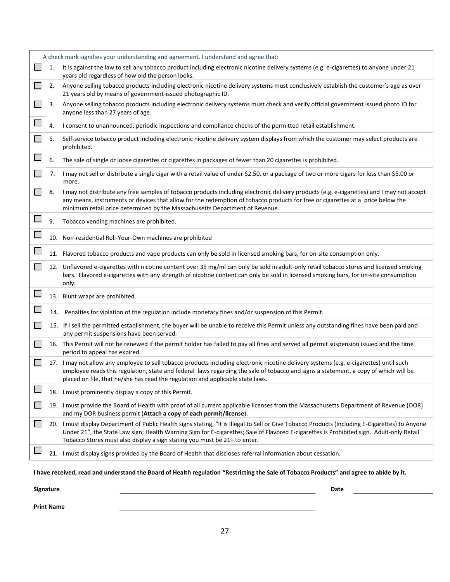|    | A check mark signifies your understanding and agreement. I understand and agree that:                                                                                                                                                                                                                                                                                     |
|----|---------------------------------------------------------------------------------------------------------------------------------------------------------------------------------------------------------------------------------------------------------------------------------------------------------------------------------------------------------------------------|
| 1. | It is against the law to sell any tobacco product including electronic nicotine delivery systems (e.g. e-cigarettes) to anyone under 21<br>years old regardless of how old the person looks.                                                                                                                                                                              |
| 2. | Anyone selling tobacco products including electronic nicotine delivery systems must conclusively establish the customer's age as over<br>21 years old by means of government-issued photographic ID.                                                                                                                                                                      |
| 3. | Anyone selling tobacco products including electronic delivery systems must check and verify official government issued photo ID for<br>anyone less than 27 years of age.                                                                                                                                                                                                  |
| 4. | I consent to unannounced, periodic inspections and compliance checks of the permitted retail establishment.                                                                                                                                                                                                                                                               |
| 5. | Self-service tobacco product including electronic nicotine delivery system displays from which the customer may select products are<br>prohibited.                                                                                                                                                                                                                        |
| 6. | The sale of single or loose cigarettes or cigarettes in packages of fewer than 20 cigarettes is prohibited.                                                                                                                                                                                                                                                               |
| 7. | I may not sell or distribute a single cigar with a retail value of under \$2.50, or a package of two or more cigars for less than \$5.00 or<br>more.                                                                                                                                                                                                                      |
| 8. | I may not distribute any free samples of tobacco products including electronic delivery products (e.g. e-cigarettes) and I may not accept<br>any means, instruments or devices that allow for the redemption of tobacco products for free or cigarettes at a price below the<br>minimum retail price determined by the Massachusetts Department of Revenue.               |
| 9. | Tobacco vending machines are prohibited.                                                                                                                                                                                                                                                                                                                                  |
|    | 10. Non-residential Roll-Your-Own machines are prohibited                                                                                                                                                                                                                                                                                                                 |
|    | 11. Flavored tobacco products and vape products can only be sold in licensed smoking bars, for on-site consumption only.                                                                                                                                                                                                                                                  |
|    | 12. Unflavored e-cigarettes with nicotine content over 35 mg/ml can only be sold in adult-only retail tobacco stores and licensed smoking<br>bars. Flavored e-cigarettes with any strength of nicotine content can only be sold in licensed smoking bars, for on-site consumption<br>only.                                                                                |
|    | 13. Blunt wraps are prohibited.                                                                                                                                                                                                                                                                                                                                           |
|    | 14. Penalties for violation of the regulation include monetary fines and/or suspension of this Permit.                                                                                                                                                                                                                                                                    |
|    | 15. If I sell the permitted establishment, the buyer will be unable to receive this Permit unless any outstanding fines have been paid and<br>any permit suspensions have been served.                                                                                                                                                                                    |
|    | 16. This Permit will not be renewed if the permit holder has failed to pay all fines and served all permit suspension issued and the time<br>period to appeal has expired.                                                                                                                                                                                                |
|    | 17. I may not allow any employee to sell tobacco products including electronic nicotine delivery systems (e.g. e-cigarettes) until such<br>employee reads this regulation, state and federal laws regarding the sale of tobacco and signs a statement, a copy of which will be<br>placed on file, that he/she has read the regulation and applicable state laws.          |
|    | 18. I must prominently display a copy of this Permit.                                                                                                                                                                                                                                                                                                                     |
|    | 19. I must provide the Board of Health with proof of all current applicable licenses from the Massachusetts Department of Revenue (DOR)<br>and my DOR business permit (Attach a copy of each permit/license).                                                                                                                                                             |
|    | 20. I must display Department of Public Health signs stating, "It is Illegal to Sell or Give Tobacco Products (Including E-Cigarettes) to Anyone<br>Under 21", the State Law sign; Health Warning Sign for E-cigarettes; Sale of Flavored E-cigarettes is Prohibited sign. Adult-only Retail<br>Tobacco Stores must also display a sign stating you must be 21+ to enter. |
|    | 21. I must display signs provided by the Board of Health that discloses referral information about cessation.                                                                                                                                                                                                                                                             |
|    |                                                                                                                                                                                                                                                                                                                                                                           |

**I have received, read and understand the Board of Health regulation "Restricting the Sale of Tobacco Products" and agree to abide by it.**

| Signature         | Date |  |
|-------------------|------|--|
| <b>Print Name</b> |      |  |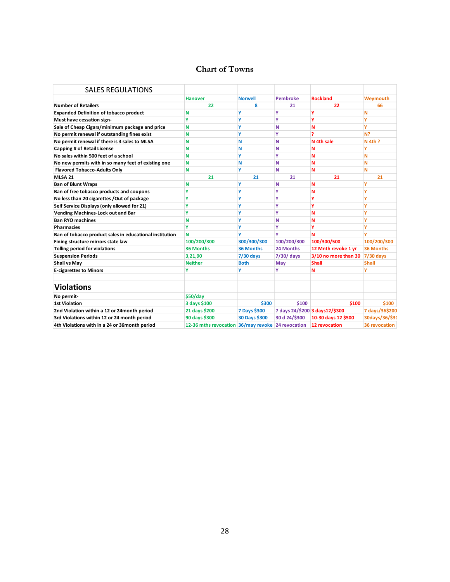#### **Chart of Towns**

| <b>SALES REGULATIONS</b>                                |                                                   |                  |                 |                                |                      |
|---------------------------------------------------------|---------------------------------------------------|------------------|-----------------|--------------------------------|----------------------|
|                                                         | <b>Hanover</b>                                    | <b>Norwell</b>   | <b>Pembroke</b> | <b>Rockland</b>                | Weymouth             |
| <b>Number of Retailers</b>                              | 22                                                | 8                | 21              | 22                             | 66                   |
| <b>Expanded Definition of tobacco product</b>           | N                                                 | ٧                | ٧               | γ                              | Ν                    |
| Must have cessation sign-                               | Ÿ                                                 | ٧                | Y               | ٧                              | Ý                    |
| Sale of Cheap Cigars/minimum package and price          | N                                                 | ٧                | N               | N                              | ۷                    |
| No permit renewal if outstanding fines exist            | N                                                 | ٧                | ٧               | 7                              | N?                   |
| No permit renewal if there is 3 sales to MLSA           | N                                                 | Ν                | N               | N 4th sale                     | $N$ 4th ?            |
| <b>Capping # of Retail License</b>                      | N                                                 | Ν                | N               | N                              | ٧                    |
| No sales within 500 feet of a school                    | N                                                 | ٧                | ٧               | N                              | N                    |
| No new permits with in so many feet of existing one     | N                                                 | Ν                | N               | N                              | N                    |
| <b>Flavored Tobacco-Adults Only</b>                     | N                                                 | ٧                | N               | N                              | N                    |
| <b>MLSA 21</b>                                          | 21                                                | 21               | 21              | 21                             | 21                   |
| <b>Ban of Blunt Wraps</b>                               | N                                                 | ٧                | N               | N                              | ٧                    |
| Ban of free tobacco products and coupons                | Y                                                 | ٧                | ٧               | N                              | ۷                    |
| No less than 20 cigarettes /Out of package              | Y                                                 | ٧                | ٧               | ٧                              | ۷                    |
| Self Service Displays (only allowed for 21)             | Y                                                 | ٧                | ٧               |                                | ۷                    |
| Vending Machines-Lock out and Bar                       | ٧                                                 | ٧                | Υ               | N                              | ۷                    |
| <b>Ban RYO machines</b>                                 | N                                                 | ٧                | Ν               | N                              | v                    |
| <b>Pharmacies</b>                                       | Y                                                 | Ÿ                | ٧               |                                | v                    |
| Ban of tobacco product sales in educational institution | N                                                 | ٧                | Y               | N                              |                      |
| Fining structure mirrors state law                      | 100/200/300                                       | 300/300/300      | 100/200/300     | 100/300/500                    | 100/200/300          |
| Tolling period for violations                           | 36 Months                                         | <b>36 Months</b> | 24 Months       | 12 Mnth revoke 1 yr            | <b>36 Months</b>     |
| <b>Suspension Periods</b>                               | 3,21,90                                           | <b>7/30 days</b> | 7/30/ days      | 3/10 no more than 30           | 7/30 days            |
| <b>Shall vs May</b>                                     | <b>Neither</b>                                    | <b>Both</b>      | May             | <b>Shall</b>                   | <b>Shall</b>         |
| <b>E-cigarettes to Minors</b>                           | Y                                                 | ٧                | Υ               | N                              |                      |
| <b>Violations</b>                                       |                                                   |                  |                 |                                |                      |
| No permit-                                              | \$50/day                                          |                  |                 |                                |                      |
| <b>1st Violation</b>                                    | 3 days \$100                                      | \$300            | \$100           | \$100                          | \$100                |
| 2nd Violation within a 12 or 24month period             | 21 days \$200                                     | 7 Days \$300     |                 | 7 days 24/\$200 3 days12/\$300 | 7 days/36\$200       |
| 3rd Violations within 12 or 24 month period             | 90 days \$300                                     | 30 Days \$300    | 30 d 24/\$300   | 10-30 days 12 \$500            | 30days/36/\$30       |
| 4th Violations with in a 24 or 36 month period          | 12-36 mths revocation 36/may revoke 24 revocation |                  |                 | 12 revocation                  | <b>36 revocation</b> |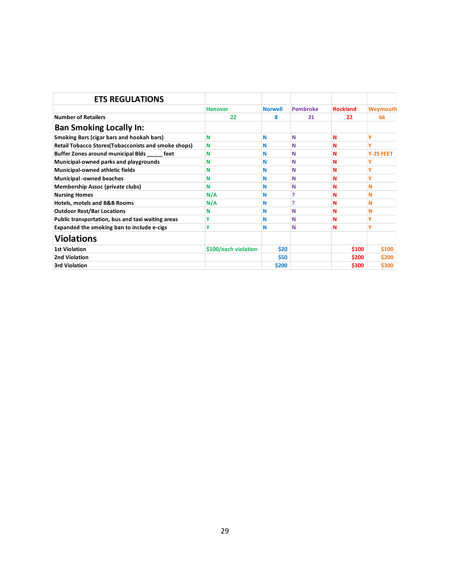| <b>ETS REGULATIONS</b>                                      |                      |                |                 |                 |           |
|-------------------------------------------------------------|----------------------|----------------|-----------------|-----------------|-----------|
|                                                             | <b>Hanover</b>       | <b>Norwell</b> | <b>Pembroke</b> | <b>Rockland</b> | Weymouth  |
| <b>Number of Retailers</b>                                  | 22                   | 8              | 21              | 22              | 66        |
| <b>Ban Smoking Locally In:</b>                              |                      |                |                 |                 |           |
| <b>Smoking Bars (cigar bars and hookah bars)</b>            | N                    | N              | Ν               | N               | Υ         |
| <b>Retail Tobacco Stores (Tobacconists and smoke shops)</b> | N                    | N              | Ν               | N               | Ÿ         |
| Buffer Zones around municipal Blds _____ feet               | N                    | N              | Ν               | ${\bf N}$       | Y-25 FEET |
| Municipal-owned parks and playgrounds                       | N                    | N              | Ν               | N               | Ÿ         |
| Municipal-owned athletic fields                             | N                    | N              | Ν               | N               | Ÿ         |
| <b>Municipal -owned beaches</b>                             | N                    | Ν              | Ν               | N               | Υ         |
| <b>Membership Assoc (private clubs)</b>                     | N                    | Ν              | Ν               | N               | N         |
| <b>Nursing Homes</b>                                        | N/A                  | N              | 5               | N               | N         |
| Hotels, motels and B&B Rooms                                | N/A                  | Ν              | 5               | N               | N         |
| <b>Outdoor Rest/Bar Locations</b>                           | N                    | N              | N               | $\mathbf N$     | N         |
| Public transportation, bus and taxi waiting areas           | Ÿ                    | N              | Ν               | N               | Ÿ         |
| Expanded the smoking ban to include e-cigs                  | Y                    | N              | N               | N               | Ÿ         |
| <b>Violations</b>                                           |                      |                |                 |                 |           |
| <b>1st Violation</b>                                        | \$100/each violation | \$20           |                 | \$100           | \$100     |
| 2nd Violation                                               |                      | \$50           |                 | \$200           | \$200     |
| 3rd Violation                                               |                      | \$200          |                 | \$300           | \$300     |
|                                                             |                      |                |                 |                 |           |
|                                                             |                      |                |                 |                 |           |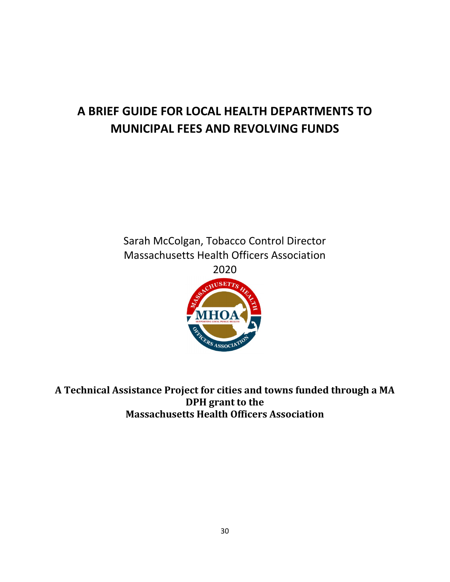## **A BRIEF GUIDE FOR LOCAL HEALTH DEPARTMENTS TO MUNICIPAL FEES AND REVOLVING FUNDS**



**A Technical Assistance Project for cities and towns funded through a MA DPH grant to the Massachusetts Health Officers Association**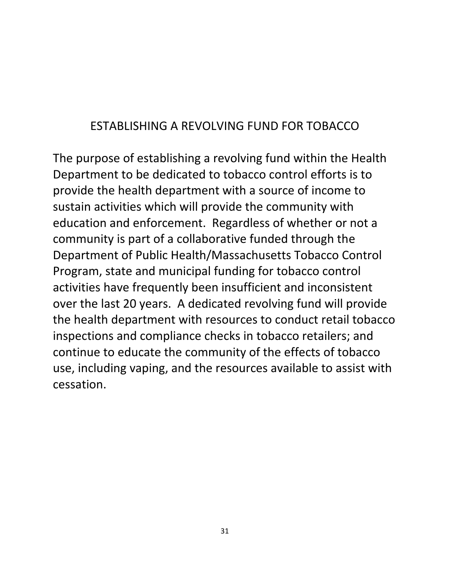### ESTABLISHING A REVOLVING FUND FOR TOBACCO

The purpose of establishing a revolving fund within the Health Department to be dedicated to tobacco control efforts is to provide the health department with a source of income to sustain activities which will provide the community with education and enforcement. Regardless of whether or not a community is part of a collaborative funded through the Department of Public Health/Massachusetts Tobacco Control Program, state and municipal funding for tobacco control activities have frequently been insufficient and inconsistent over the last 20 years. A dedicated revolving fund will provide the health department with resources to conduct retail tobacco inspections and compliance checks in tobacco retailers; and continue to educate the community of the effects of tobacco use, including vaping, and the resources available to assist with cessation.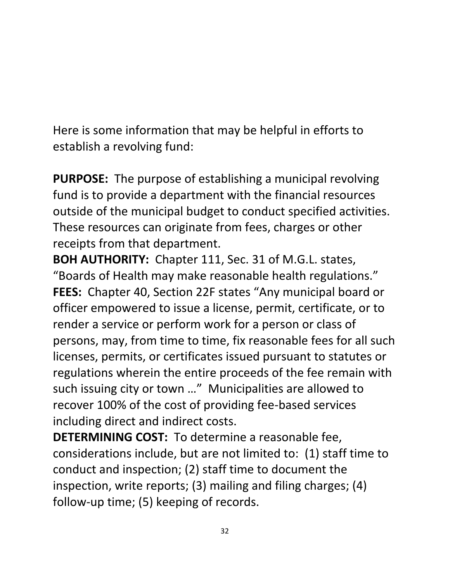Here is some information that may be helpful in efforts to establish a revolving fund:

**PURPOSE:** The purpose of establishing a municipal revolving fund is to provide a department with the financial resources outside of the municipal budget to conduct specified activities. These resources can originate from fees, charges or other receipts from that department.

**BOH AUTHORITY:** Chapter 111, Sec. 31 of M.G.L. states, "Boards of Health may make reasonable health regulations." **FEES:** Chapter 40, Section 22F states "Any municipal board or officer empowered to issue a license, permit, certificate, or to render a service or perform work for a person or class of persons, may, from time to time, fix reasonable fees for all such licenses, permits, or certificates issued pursuant to statutes or regulations wherein the entire proceeds of the fee remain with such issuing city or town …" Municipalities are allowed to recover 100% of the cost of providing fee-based services including direct and indirect costs.

**DETERMINING COST:** To determine a reasonable fee, considerations include, but are not limited to: (1) staff time to conduct and inspection; (2) staff time to document the inspection, write reports; (3) mailing and filing charges; (4) follow-up time; (5) keeping of records.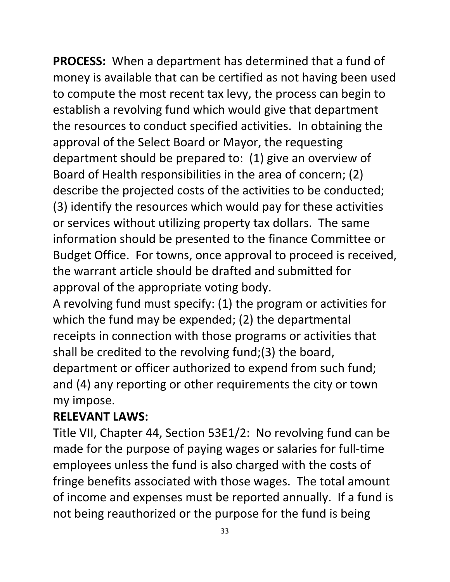**PROCESS:** When a department has determined that a fund of money is available that can be certified as not having been used to compute the most recent tax levy, the process can begin to establish a revolving fund which would give that department the resources to conduct specified activities. In obtaining the approval of the Select Board or Mayor, the requesting department should be prepared to: (1) give an overview of Board of Health responsibilities in the area of concern; (2) describe the projected costs of the activities to be conducted; (3) identify the resources which would pay for these activities or services without utilizing property tax dollars. The same information should be presented to the finance Committee or Budget Office. For towns, once approval to proceed is received, the warrant article should be drafted and submitted for approval of the appropriate voting body.

A revolving fund must specify: (1) the program or activities for which the fund may be expended; (2) the departmental receipts in connection with those programs or activities that shall be credited to the revolving fund;(3) the board, department or officer authorized to expend from such fund; and (4) any reporting or other requirements the city or town my impose.

### **RELEVANT LAWS:**

Title VII, Chapter 44, Section 53E1/2: No revolving fund can be made for the purpose of paying wages or salaries for full-time employees unless the fund is also charged with the costs of fringe benefits associated with those wages. The total amount of income and expenses must be reported annually. If a fund is not being reauthorized or the purpose for the fund is being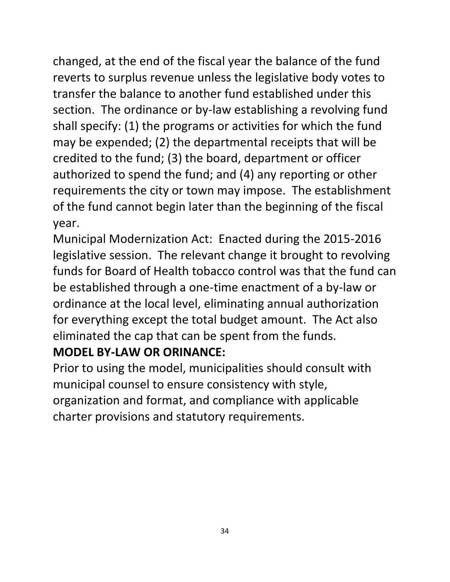changed, at the end of the fiscal year the balance of the fund reverts to surplus revenue unless the legislative body votes to transfer the balance to another fund established under this section. The ordinance or by-law establishing a revolving fund shall specify: (1) the programs or activities for which the fund may be expended; (2) the departmental receipts that will be credited to the fund; (3) the board, department or officer authorized to spend the fund; and (4) any reporting or other requirements the city or town may impose. The establishment of the fund cannot begin later than the beginning of the fiscal year.

Municipal Modernization Act: Enacted during the 2015-2016 legislative session. The relevant change it brought to revolving funds for Board of Health tobacco control was that the fund can be established through a one-time enactment of a by-law or ordinance at the local level, eliminating annual authorization for everything except the total budget amount. The Act also eliminated the cap that can be spent from the funds.

### **MODEL BY-LAW OR ORINANCE:**

Prior to using the model, municipalities should consult with municipal counsel to ensure consistency with style, organization and format, and compliance with applicable charter provisions and statutory requirements.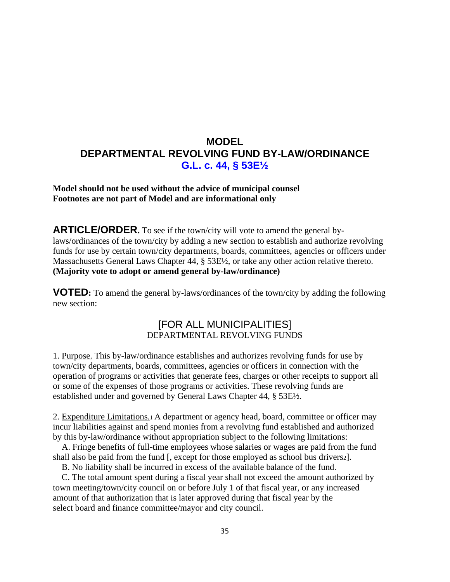### **MODEL DEPARTMENTAL REVOLVING FUND BY-LAW/ORDINANCE G.L. c. 44, § 53E½**

**Model should not be used without the advice of municipal counsel Footnotes are not part of Model and are informational only**

**ARTICLE/ORDER.** To see if the town/city will vote to amend the general bylaws/ordinances of the town/city by adding a new section to establish and authorize revolving funds for use by certain town/city departments, boards, committees, agencies or officers under Massachusetts General Laws Chapter 44, § 53E½, or take any other action relative thereto. **(Majority vote to adopt or amend general by-law/ordinance)**

**VOTED:** To amend the general by-laws/ordinances of the town/city by adding the following new section:

### [FOR ALL MUNICIPALITIES] DEPARTMENTAL REVOLVING FUNDS

1. Purpose. This by-law/ordinance establishes and authorizes revolving funds for use by town/city departments, boards, committees, agencies or officers in connection with the operation of programs or activities that generate fees, charges or other receipts to support all or some of the expenses of those programs or activities. These revolving funds are established under and governed by General Laws Chapter 44, § 53E½.

2. Expenditure Limitations.1 A department or agency head, board, committee or officer may incur liabilities against and spend monies from a revolving fund established and authorized by this by-law/ordinance without appropriation subject to the following limitations:

 A. Fringe benefits of full-time employees whose salaries or wages are paid from the fund shall also be paid from the fund [, except for those employed as school bus drivers2].

B. No liability shall be incurred in excess of the available balance of the fund.

 C. The total amount spent during a fiscal year shall not exceed the amount authorized by town meeting/town/city council on or before July 1 of that fiscal year, or any increased amount of that authorization that is later approved during that fiscal year by the select board and finance committee/mayor and city council.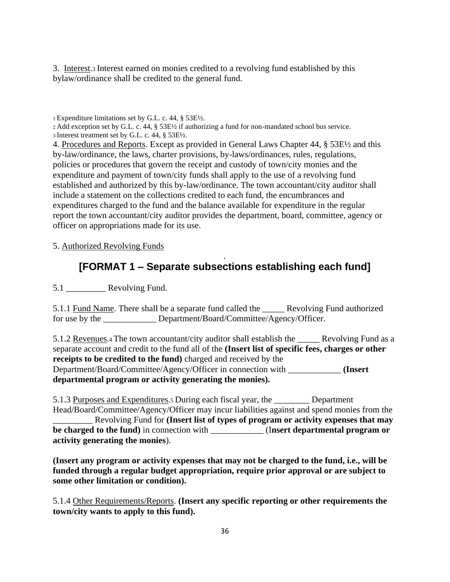3. Interest.3 Interest earned on monies credited to a revolving fund established by this bylaw/ordinance shall be credited to the general fund.

<sup>1</sup>Expenditure limitations set by G.L. c. 44, § 53E½.

<sup>2</sup>Add exception set by G.L. c. 44, § 53E½ if authorizing a fund for non-mandated school bus service. <sup>3</sup>Interest treatment set by G.L. c. 44, § 53E½.

4. Procedures and Reports. Except as provided in General Laws Chapter 44, § 53E½ and this by-law/ordinance, the laws, charter provisions, by-laws/ordinances, rules, regulations, policies or procedures that govern the receipt and custody of town/city monies and the expenditure and payment of town/city funds shall apply to the use of a revolving fund established and authorized by this by-law/ordinance. The town accountant/city auditor shall include a statement on the collections credited to each fund, the encumbrances and expenditures charged to the fund and the balance available for expenditure in the regular report the town accountant/city auditor provides the department, board, committee, agency or officer on appropriations made for its use.

5. Authorized Revolving Funds

### . **[FORMAT 1 – Separate subsections establishing each fund]**

5.1 **Revolving Fund.** 

5.1.1 Fund Name. There shall be a separate fund called the \_\_\_\_\_ Revolving Fund authorized for use by the \_\_\_\_\_\_\_\_\_\_\_\_ Department/Board/Committee/Agency/Officer.

5.1.2 Revenues.4 The town accountant/city auditor shall establish the Revolving Fund as a separate account and credit to the fund all of the **(Insert list of specific fees, charges or other receipts to be credited to the fund)** charged and received by the Department/Board/Committee/Agency/Officer in connection with \_\_\_\_\_\_\_\_\_\_\_\_ **(Insert departmental program or activity generating the monies).**

5.1.3 Purposes and Expenditures.5 During each fiscal year, the \_\_\_\_\_\_\_\_ Department Head/Board/Committee/Agency/Officer may incur liabilities against and spend monies from the \_\_\_\_\_\_\_\_\_ Revolving Fund for **(Insert list of types of program or activity expenses that may be charged to the fund)** in connection with \_\_\_\_\_\_\_\_\_\_\_\_ (I**nsert departmental program or activity generating the monies**).

**(Insert any program or activity expenses that may not be charged to the fund, i.e., will be funded through a regular budget appropriation, require prior approval or are subject to some other limitation or condition).**

5.1.4 Other Requirements/Reports. **(Insert any specific reporting or other requirements the town/city wants to apply to this fund).**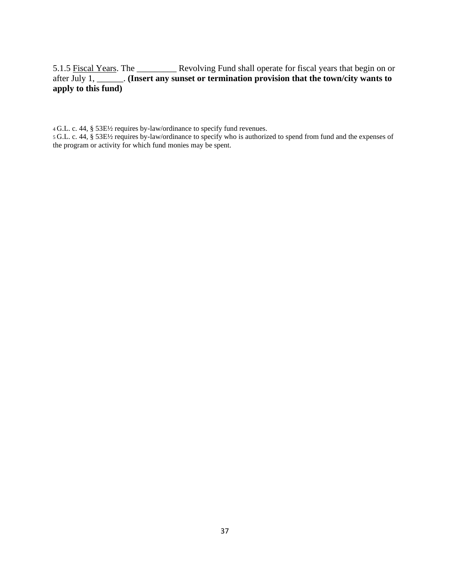5.1.5 Fiscal Years. The \_\_\_\_\_\_\_\_\_ Revolving Fund shall operate for fiscal years that begin on or after July 1, \_\_\_\_\_\_. **(Insert any sunset or termination provision that the town/city wants to apply to this fund)**

<sup>4</sup>G.L. c. 44, § 53E½ requires by-law/ordinance to specify fund revenues.

<sup>5</sup>G.L. c. 44, § 53E½ requires by-law/ordinance to specify who is authorized to spend from fund and the expenses of the program or activity for which fund monies may be spent.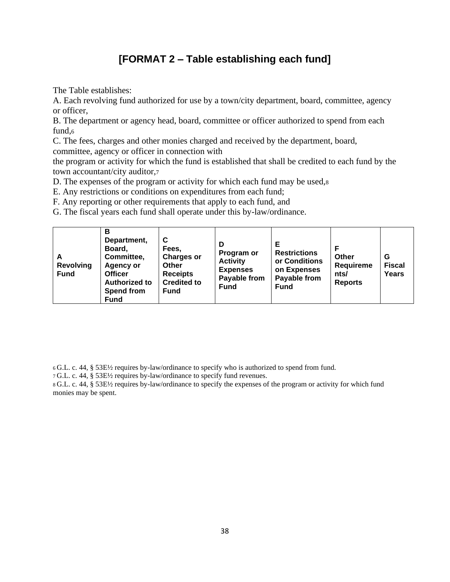### **[FORMAT 2 – Table establishing each fund]**

The Table establishes:

A. Each revolving fund authorized for use by a town/city department, board, committee, agency or officer,

B. The department or agency head, board, committee or officer authorized to spend from each fund,<sup>6</sup>

C. The fees, charges and other monies charged and received by the department, board, committee, agency or officer in connection with

the program or activity for which the fund is established that shall be credited to each fund by the town accountant/city auditor,<sup>7</sup>

D. The expenses of the program or activity for which each fund may be used,<sup>8</sup>

E. Any restrictions or conditions on expenditures from each fund;

F. Any reporting or other requirements that apply to each fund, and

G. The fiscal years each fund shall operate under this by-law/ordinance.

| A<br><b>Revolving</b><br><b>Fund</b> | В<br>Department,<br>Board,<br>Committee,<br>Agency or<br><b>Officer</b><br><b>Authorized to</b><br><b>Spend from</b><br><b>Fund</b> | C<br>Fees,<br><b>Charges or</b><br>Other<br><b>Receipts</b><br><b>Credited to</b><br><b>Fund</b> | D<br>Program or<br><b>Activity</b><br><b>Expenses</b><br>Payable from<br><b>Fund</b> | Е<br><b>Restrictions</b><br>or Conditions<br>on Expenses<br>Payable from<br><b>Fund</b> | Other<br>Requireme<br>nts/<br><b>Reports</b> | G<br><b>Fiscal</b><br>Years |
|--------------------------------------|-------------------------------------------------------------------------------------------------------------------------------------|--------------------------------------------------------------------------------------------------|--------------------------------------------------------------------------------------|-----------------------------------------------------------------------------------------|----------------------------------------------|-----------------------------|
|--------------------------------------|-------------------------------------------------------------------------------------------------------------------------------------|--------------------------------------------------------------------------------------------------|--------------------------------------------------------------------------------------|-----------------------------------------------------------------------------------------|----------------------------------------------|-----------------------------|

<sup>6</sup>G.L. c. 44, § 53E½ requires by-law/ordinance to specify who is authorized to spend from fund.

<sup>7</sup>G.L. c. 44, § 53E½ requires by-law/ordinance to specify fund revenues.

<sup>8</sup>G.L. c. 44, § 53E½ requires by-law/ordinance to specify the expenses of the program or activity for which fund monies may be spent.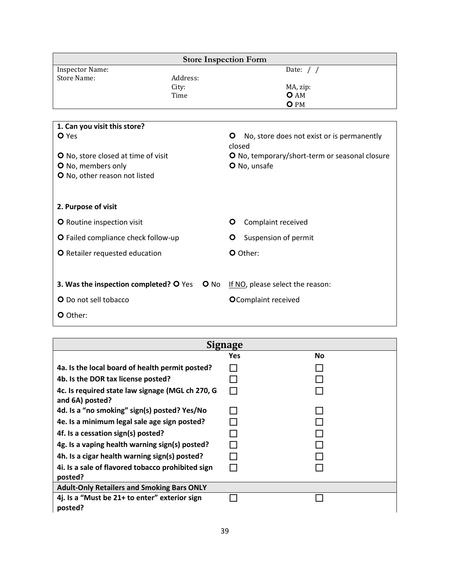|                                               |          | <b>Store Inspection Form</b>                              |  |  |
|-----------------------------------------------|----------|-----------------------------------------------------------|--|--|
| <b>Inspector Name:</b>                        |          | Date: $/$ /                                               |  |  |
| <b>Store Name:</b>                            | Address: |                                                           |  |  |
|                                               | City:    | MA, zip:                                                  |  |  |
|                                               | Time     | <b>O</b> AM<br>O PM                                       |  |  |
|                                               |          |                                                           |  |  |
| 1. Can you visit this store?                  |          |                                                           |  |  |
| <b>O</b> Yes                                  |          | No, store does not exist or is permanently<br>O<br>closed |  |  |
| O No, store closed at time of visit           |          | O No, temporary/short-term or seasonal closure            |  |  |
| O No, members only                            |          | O No, unsafe                                              |  |  |
| O No, other reason not listed                 |          |                                                           |  |  |
| 2. Purpose of visit                           |          |                                                           |  |  |
| <b>O</b> Routine inspection visit             |          | Complaint received<br>O                                   |  |  |
| O Failed compliance check follow-up           |          | Suspension of permit<br>O                                 |  |  |
| <b>O</b> Retailer requested education         |          | O Other:                                                  |  |  |
|                                               |          |                                                           |  |  |
| <b>3. Was the inspection completed? O</b> Yes | $O$ No   | If NO, please select the reason:                          |  |  |
| O Do not sell tobacco                         |          | <b>O</b> Complaint received                               |  |  |
| O Other:                                      |          |                                                           |  |  |

| Signage                                                             |     |    |  |  |  |
|---------------------------------------------------------------------|-----|----|--|--|--|
|                                                                     | Yes | No |  |  |  |
| 4a. Is the local board of health permit posted?                     |     |    |  |  |  |
| 4b. Is the DOR tax license posted?                                  |     |    |  |  |  |
| 4c. Is required state law signage (MGL ch 270, G<br>and 6A) posted? |     |    |  |  |  |
| 4d. Is a "no smoking" sign(s) posted? Yes/No                        |     |    |  |  |  |
| 4e. Is a minimum legal sale age sign posted?                        |     |    |  |  |  |
| 4f. Is a cessation sign(s) posted?                                  |     |    |  |  |  |
| 4g. Is a vaping health warning sign(s) posted?                      |     |    |  |  |  |
| 4h. Is a cigar health warning sign(s) posted?                       |     |    |  |  |  |
| 4i. Is a sale of flavored tobacco prohibited sign<br>posted?        |     |    |  |  |  |
| <b>Adult-Only Retailers and Smoking Bars ONLY</b>                   |     |    |  |  |  |
| 4j. Is a "Must be 21+ to enter" exterior sign<br>posted?            |     |    |  |  |  |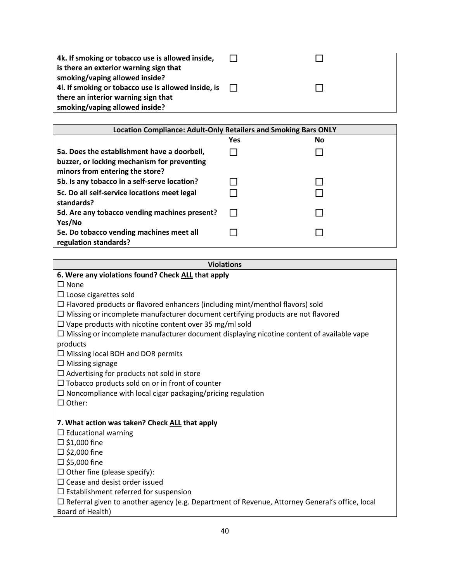| 4k. If smoking or tobacco use is allowed inside,<br>is there an exterior warning sign that |        |  |
|--------------------------------------------------------------------------------------------|--------|--|
| smoking/vaping allowed inside?<br>4l. If smoking or tobacco use is allowed inside, is      | $\Box$ |  |
| there an interior warning sign that                                                        |        |  |
| smoking/vaping allowed inside?                                                             |        |  |

| Location Compliance: Adult-Only Retailers and Smoking Bars ONLY                                                               |     |    |
|-------------------------------------------------------------------------------------------------------------------------------|-----|----|
|                                                                                                                               | Yes | No |
| 5a. Does the establishment have a doorbell,<br>buzzer, or locking mechanism for preventing<br>minors from entering the store? |     |    |
| 5b. Is any tobacco in a self-serve location?                                                                                  |     |    |
| 5c. Do all self-service locations meet legal<br>standards?                                                                    |     |    |
| 5d. Are any tobacco vending machines present?<br>Yes/No                                                                       |     |    |
| 5e. Do tobacco vending machines meet all<br>regulation standards?                                                             |     |    |

#### **Violations**

**6. Were any violations found? Check ALL that apply** 

 $\square$  None

 $\square$  Loose cigarettes sold

 $\Box$  Flavored products or flavored enhancers (including mint/menthol flavors) sold

 $\Box$  Missing or incomplete manufacturer document certifying products are not flavored

 $\square$  Vape products with nicotine content over 35 mg/ml sold

 $\Box$  Missing or incomplete manufacturer document displaying nicotine content of available vape products

 $\square$  Missing local BOH and DOR permits

 $\square$  Missing signage

 $\square$  Advertising for products not sold in store

 $\square$  Tobacco products sold on or in front of counter

 $\square$  Noncompliance with local cigar packaging/pricing regulation

 $\Box$  Other:

#### **7. What action was taken? Check ALL that apply**

 $\square$  Educational warning

 $\square$  \$1,000 fine

 $\square$  \$2,000 fine

 $\square$  \$5,000 fine

 $\square$  Other fine (please specify):

 $\square$  Cease and desist order issued

 $\square$  Establishment referred for suspension

 $\Box$  Referral given to another agency (e.g. Department of Revenue, Attorney General's office, local

Board of Health)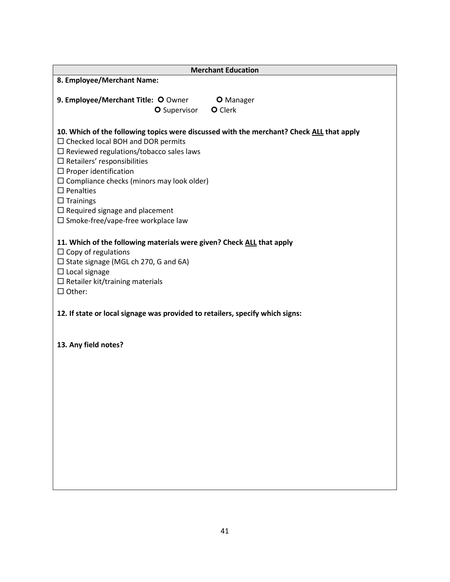| <b>Merchant Education</b>                                                                                                                                                                                                                                                                                                                                                                                                                                  |
|------------------------------------------------------------------------------------------------------------------------------------------------------------------------------------------------------------------------------------------------------------------------------------------------------------------------------------------------------------------------------------------------------------------------------------------------------------|
| 8. Employee/Merchant Name:                                                                                                                                                                                                                                                                                                                                                                                                                                 |
| 9. Employee/Merchant Title: O Owner<br><b>O</b> Manager<br>O Clerk<br><b>O</b> Supervisor                                                                                                                                                                                                                                                                                                                                                                  |
| 10. Which of the following topics were discussed with the merchant? Check ALL that apply<br>$\Box$ Checked local BOH and DOR permits<br>$\square$ Reviewed regulations/tobacco sales laws<br>$\square$ Retailers' responsibilities<br>$\Box$ Proper identification<br>$\Box$ Compliance checks (minors may look older)<br>$\square$ Penalties<br>$\Box$ Trainings<br>$\Box$ Required signage and placement<br>$\square$ Smoke-free/vape-free workplace law |
| 11. Which of the following materials were given? Check ALL that apply<br>$\Box$ Copy of regulations<br>$\Box$ State signage (MGL ch 270, G and 6A)<br>$\Box$ Local signage<br>$\Box$ Retailer kit/training materials<br>$\Box$ Other:                                                                                                                                                                                                                      |
| 12. If state or local signage was provided to retailers, specify which signs:                                                                                                                                                                                                                                                                                                                                                                              |
| 13. Any field notes?                                                                                                                                                                                                                                                                                                                                                                                                                                       |
|                                                                                                                                                                                                                                                                                                                                                                                                                                                            |
|                                                                                                                                                                                                                                                                                                                                                                                                                                                            |
|                                                                                                                                                                                                                                                                                                                                                                                                                                                            |
|                                                                                                                                                                                                                                                                                                                                                                                                                                                            |
|                                                                                                                                                                                                                                                                                                                                                                                                                                                            |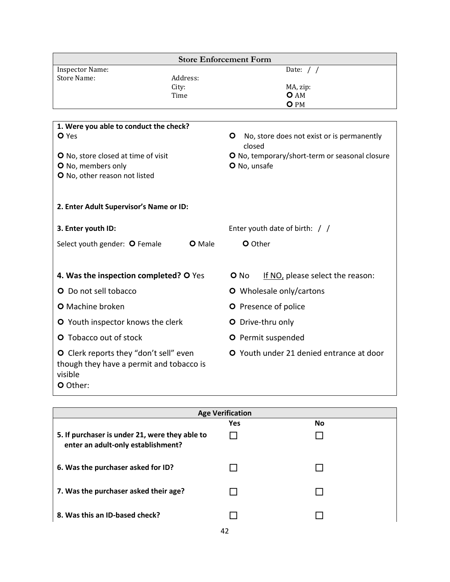| <b>Store Enforcement Form</b>                                                                             |                      |              |                                                |
|-----------------------------------------------------------------------------------------------------------|----------------------|--------------|------------------------------------------------|
| <b>Inspector Name:</b>                                                                                    |                      |              | Date: $/ /$                                    |
| <b>Store Name:</b>                                                                                        | Address:<br>City:    |              | MA, zip:                                       |
|                                                                                                           | Time                 |              | <b>O</b> AM                                    |
|                                                                                                           |                      |              | O PM                                           |
|                                                                                                           |                      |              |                                                |
| 1. Were you able to conduct the check?                                                                    |                      |              |                                                |
| <b>O</b> Yes                                                                                              |                      | O<br>closed  | No, store does not exist or is permanently     |
| O No, store closed at time of visit                                                                       |                      |              | O No, temporary/short-term or seasonal closure |
| O No, members only                                                                                        |                      | O No, unsafe |                                                |
| O No, other reason not listed                                                                             |                      |              |                                                |
|                                                                                                           |                      |              |                                                |
| 2. Enter Adult Supervisor's Name or ID:                                                                   |                      |              |                                                |
| 3. Enter youth ID:                                                                                        |                      |              | Enter youth date of birth: / /                 |
| Select youth gender: O Female                                                                             | <b>O</b> Male        | O Other      |                                                |
|                                                                                                           |                      |              |                                                |
| 4. Was the inspection completed? O Yes                                                                    |                      | O No         | If NO, please select the reason:               |
| O Do not sell tobacco                                                                                     |                      |              | O Wholesale only/cartons                       |
| O Machine broken                                                                                          | O Presence of police |              |                                                |
| O Youth inspector knows the clerk                                                                         |                      |              | O Drive-thru only                              |
| <b>O</b> Tobacco out of stock                                                                             |                      |              | O Permit suspended                             |
| O Clerk reports they "don't sell" even<br>though they have a permit and tobacco is<br>visible<br>O Other: |                      |              | O Youth under 21 denied entrance at door       |

| <b>Age Verification</b>                                                              |            |           |
|--------------------------------------------------------------------------------------|------------|-----------|
|                                                                                      | <b>Yes</b> | <b>No</b> |
| 5. If purchaser is under 21, were they able to<br>enter an adult-only establishment? |            |           |
| 6. Was the purchaser asked for ID?                                                   |            |           |
| 7. Was the purchaser asked their age?                                                |            |           |
| 8. Was this an ID-based check?                                                       |            |           |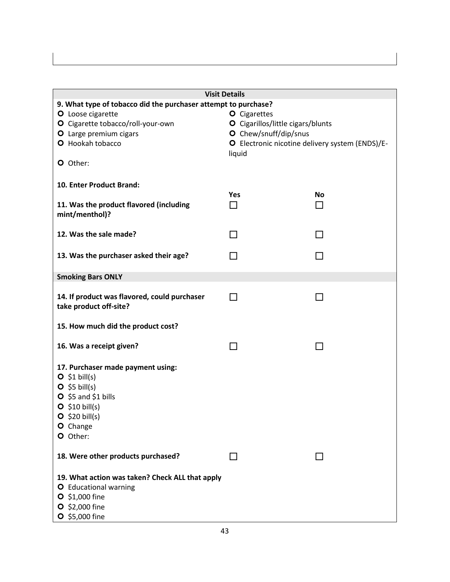| <b>Visit Details</b>                                                                                                                                             |                                                 |           |  |
|------------------------------------------------------------------------------------------------------------------------------------------------------------------|-------------------------------------------------|-----------|--|
| 9. What type of tobacco did the purchaser attempt to purchase?                                                                                                   |                                                 |           |  |
| O Loose cigarette                                                                                                                                                | <b>O</b> Cigarettes                             |           |  |
| O Cigarette tobacco/roll-your-own                                                                                                                                | O Cigarillos/little cigars/blunts               |           |  |
| O Large premium cigars                                                                                                                                           | O Chew/snuff/dip/snus                           |           |  |
| O Hookah tobacco                                                                                                                                                 | O Electronic nicotine delivery system (ENDS)/E- |           |  |
| O Other:                                                                                                                                                         | liquid                                          |           |  |
| 10. Enter Product Brand:                                                                                                                                         |                                                 |           |  |
|                                                                                                                                                                  | <b>Yes</b>                                      | <b>No</b> |  |
| 11. Was the product flavored (including<br>mint/menthol)?                                                                                                        | ΙI                                              | H         |  |
| 12. Was the sale made?                                                                                                                                           | ΙI                                              | ΙI        |  |
|                                                                                                                                                                  |                                                 |           |  |
| 13. Was the purchaser asked their age?                                                                                                                           |                                                 |           |  |
| <b>Smoking Bars ONLY</b>                                                                                                                                         |                                                 |           |  |
| 14. If product was flavored, could purchaser<br>take product off-site?                                                                                           | ΙI                                              | ΙI        |  |
| 15. How much did the product cost?                                                                                                                               |                                                 |           |  |
| 16. Was a receipt given?                                                                                                                                         |                                                 |           |  |
| 17. Purchaser made payment using:<br>$O$ \$1 bill(s)<br>$O$ \$5 bill(s)<br>$O$ \$5 and \$1 bills<br>$O$ \$10 bill(s)<br>$O$ \$20 bill(s)<br>O Change<br>O Other: |                                                 |           |  |
| 18. Were other products purchased?                                                                                                                               |                                                 |           |  |
| 19. What action was taken? Check ALL that apply<br>O Educational warning<br>$O$ \$1,000 fine<br>$O$ \$2,000 fine<br>O \$5,000 fine                               |                                                 |           |  |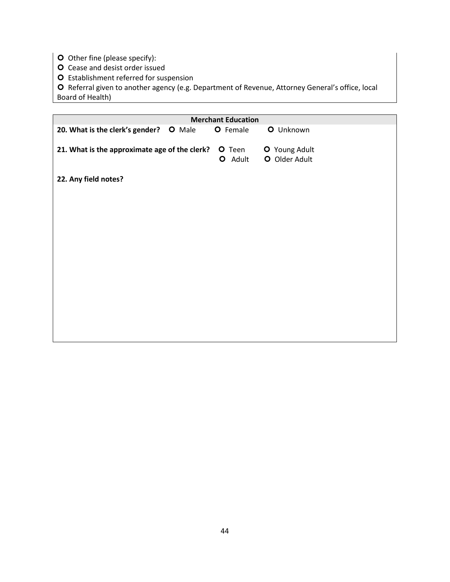- O Other fine (please specify):
- O Cease and desist order issued
- O Establishment referred for suspension

O Referral given to another agency (e.g. Department of Revenue, Attorney General's office, local Board of Health)

|                                                  | <b>Merchant Education</b> |                                |
|--------------------------------------------------|---------------------------|--------------------------------|
| 20. What is the clerk's gender?<br><b>O</b> Male | O Female                  | O Unknown                      |
|                                                  |                           |                                |
| 21. What is the approximate age of the clerk?    | O Teen<br>O Adult         | O Young Adult<br>O Older Adult |
|                                                  |                           |                                |
| 22. Any field notes?                             |                           |                                |
|                                                  |                           |                                |
|                                                  |                           |                                |
|                                                  |                           |                                |
|                                                  |                           |                                |
|                                                  |                           |                                |
|                                                  |                           |                                |
|                                                  |                           |                                |
|                                                  |                           |                                |
|                                                  |                           |                                |
|                                                  |                           |                                |
|                                                  |                           |                                |
|                                                  |                           |                                |
|                                                  |                           |                                |
|                                                  |                           |                                |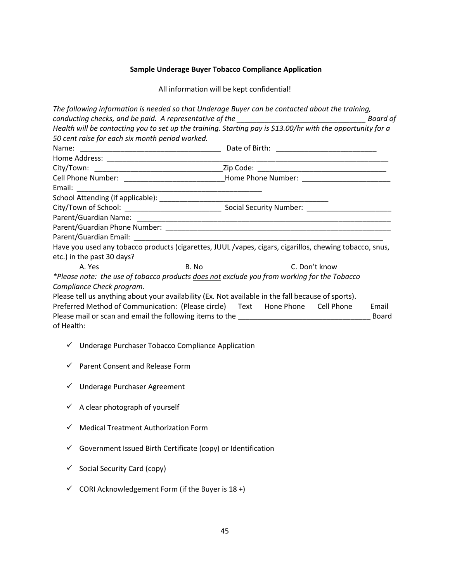### **Sample Underage Buyer Tobacco Compliance Application**

All information will be kept confidential!

|            |                                                 |                                                              | The following information is needed so that Underage Buyer can be contacted about the training,             | <b>Board of</b> |
|------------|-------------------------------------------------|--------------------------------------------------------------|-------------------------------------------------------------------------------------------------------------|-----------------|
|            | 50 cent raise for each six month period worked. |                                                              | Health will be contacting you to set up the training. Starting pay is \$13.00/hr with the opportunity for a |                 |
|            |                                                 |                                                              |                                                                                                             |                 |
|            |                                                 |                                                              |                                                                                                             |                 |
|            |                                                 |                                                              |                                                                                                             |                 |
|            |                                                 |                                                              |                                                                                                             |                 |
|            |                                                 |                                                              |                                                                                                             |                 |
|            |                                                 |                                                              |                                                                                                             |                 |
|            |                                                 |                                                              |                                                                                                             |                 |
|            |                                                 |                                                              |                                                                                                             |                 |
|            |                                                 |                                                              |                                                                                                             |                 |
|            |                                                 |                                                              |                                                                                                             |                 |
|            |                                                 |                                                              | Have you used any tobacco products (cigarettes, JUUL /vapes, cigars, cigarillos, chewing tobacco, snus,     |                 |
|            | etc.) in the past 30 days?                      |                                                              |                                                                                                             |                 |
|            | A. Yes                                          | B. No                                                        | C. Don't know                                                                                               |                 |
|            |                                                 |                                                              | *Please note: the use of tobacco products does not exclude you from working for the Tobacco                 |                 |
|            | Compliance Check program.                       |                                                              |                                                                                                             |                 |
|            |                                                 |                                                              | Please tell us anything about your availability (Ex. Not available in the fall because of sports).          |                 |
|            |                                                 |                                                              | Preferred Method of Communication: (Please circle) Text Hone Phone Cell Phone                               | Email           |
|            |                                                 |                                                              |                                                                                                             | Board           |
| of Health: |                                                 |                                                              |                                                                                                             |                 |
|            |                                                 | √ Underage Purchaser Tobacco Compliance Application          |                                                                                                             |                 |
| ✓          | Parent Consent and Release Form                 |                                                              |                                                                                                             |                 |
| ✓          | Underage Purchaser Agreement                    |                                                              |                                                                                                             |                 |
| ✓          | A clear photograph of yourself                  |                                                              |                                                                                                             |                 |
| ✓          | <b>Medical Treatment Authorization Form</b>     |                                                              |                                                                                                             |                 |
| ✓          |                                                 | Government Issued Birth Certificate (copy) or Identification |                                                                                                             |                 |
| ✓          | Social Security Card (copy)                     |                                                              |                                                                                                             |                 |
| ✓          |                                                 | CORI Acknowledgement Form (if the Buyer is 18 +)             |                                                                                                             |                 |
|            |                                                 |                                                              |                                                                                                             |                 |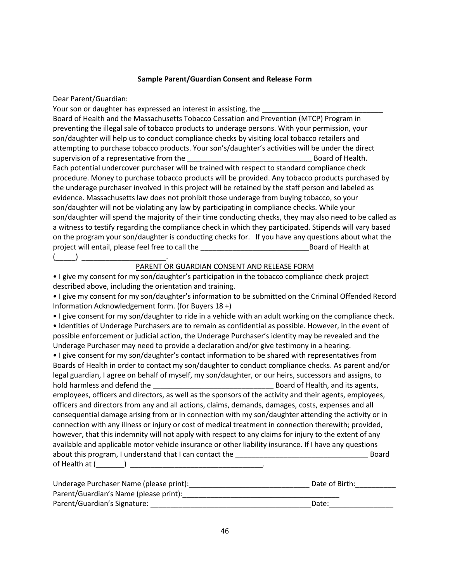#### **Sample Parent/Guardian Consent and Release Form**

Dear Parent/Guardian:

Your son or daughter has expressed an interest in assisting, the

Board of Health and the Massachusetts Tobacco Cessation and Prevention (MTCP) Program in preventing the illegal sale of tobacco products to underage persons. With your permission, your son/daughter will help us to conduct compliance checks by visiting local tobacco retailers and attempting to purchase tobacco products. Your son's/daughter's activities will be under the direct supervision of a representative from the end of Health. Each potential undercover purchaser will be trained with respect to standard compliance check procedure. Money to purchase tobacco products will be provided. Any tobacco products purchased by the underage purchaser involved in this project will be retained by the staff person and labeled as evidence. Massachusetts law does not prohibit those underage from buying tobacco, so your son/daughter will not be violating any law by participating in compliance checks. While your son/daughter will spend the majority of their time conducting checks, they may also need to be called as a witness to testify regarding the compliance check in which they participated. Stipends will vary based on the program your son/daughter is conducting checks for. If you have any questions about what the project will entail, please feel free to call the \_\_\_\_\_\_\_\_\_\_\_\_\_\_\_\_\_\_\_\_\_\_\_\_\_\_\_Board of Health at  $($   $)$ 

#### PARENT OR GUARDIAN CONSENT AND RELEASE FORM

• I give my consent for my son/daughter's participation in the tobacco compliance check project described above, including the orientation and training.

• I give my consent for my son/daughter's information to be submitted on the Criminal Offended Record Information Acknowledgement form. (for Buyers 18 +)

• I give consent for my son/daughter to ride in a vehicle with an adult working on the compliance check.

• Identities of Underage Purchasers are to remain as confidential as possible. However, in the event of possible enforcement or judicial action, the Underage Purchaser's identity may be revealed and the Underage Purchaser may need to provide a declaration and/or give testimony in a hearing.

• I give consent for my son/daughter's contact information to be shared with representatives from Boards of Health in order to contact my son/daughter to conduct compliance checks. As parent and/or legal guardian, I agree on behalf of myself, my son/daughter, or our heirs, successors and assigns, to hold harmless and defend the the the control of Health, and its agents, employees, officers and directors, as well as the sponsors of the activity and their agents, employees, officers and directors from any and all actions, claims, demands, damages, costs, expenses and all consequential damage arising from or in connection with my son/daughter attending the activity or in connection with any illness or injury or cost of medical treatment in connection therewith; provided, however, that this indemnity will not apply with respect to any claims for injury to the extent of any available and applicable motor vehicle insurance or other liability insurance. If I have any questions about this program, I understand that I can contact the \_\_\_\_\_\_\_\_\_\_\_\_\_\_\_\_\_\_\_\_\_\_\_\_\_\_\_\_\_\_\_\_\_ Board of Health at (\_\_\_\_\_\_\_) \_\_\_\_\_\_\_\_\_\_\_\_\_\_\_\_\_\_\_\_\_\_\_\_\_\_\_\_\_\_\_\_\_.

| Underage Purchaser Name (please print): | Date of Birth: |
|-----------------------------------------|----------------|
| Parent/Guardian's Name (please print):  |                |
| Parent/Guardian's Signature:            | Date:          |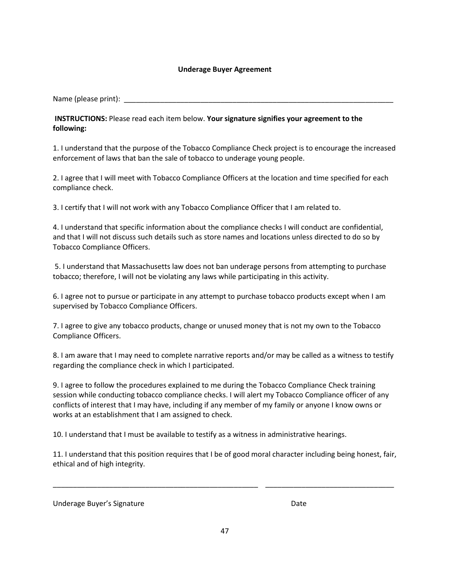#### **Underage Buyer Agreement**

Name (please print):

**INSTRUCTIONS:** Please read each item below. **Your signature signifies your agreement to the following:**

1. I understand that the purpose of the Tobacco Compliance Check project is to encourage the increased enforcement of laws that ban the sale of tobacco to underage young people.

2. I agree that I will meet with Tobacco Compliance Officers at the location and time specified for each compliance check.

3. I certify that I will not work with any Tobacco Compliance Officer that I am related to.

4. I understand that specific information about the compliance checks I will conduct are confidential, and that I will not discuss such details such as store names and locations unless directed to do so by Tobacco Compliance Officers.

5. I understand that Massachusetts law does not ban underage persons from attempting to purchase tobacco; therefore, I will not be violating any laws while participating in this activity.

6. I agree not to pursue or participate in any attempt to purchase tobacco products except when I am supervised by Tobacco Compliance Officers.

7. I agree to give any tobacco products, change or unused money that is not my own to the Tobacco Compliance Officers.

8. I am aware that I may need to complete narrative reports and/or may be called as a witness to testify regarding the compliance check in which I participated.

9. I agree to follow the procedures explained to me during the Tobacco Compliance Check training session while conducting tobacco compliance checks. I will alert my Tobacco Compliance officer of any conflicts of interest that I may have, including if any member of my family or anyone I know owns or works at an establishment that I am assigned to check.

10. I understand that I must be available to testify as a witness in administrative hearings.

11. I understand that this position requires that I be of good moral character including being honest, fair, ethical and of high integrity.

\_\_\_\_\_\_\_\_\_\_\_\_\_\_\_\_\_\_\_\_\_\_\_\_\_\_\_\_\_\_\_\_\_\_\_\_\_\_\_\_\_\_\_\_\_\_\_\_\_\_\_ \_\_\_\_\_\_\_\_\_\_\_\_\_\_\_\_\_\_\_\_\_\_\_\_\_\_\_\_\_\_\_\_

Underage Buyer's Signature **Date** Date Date